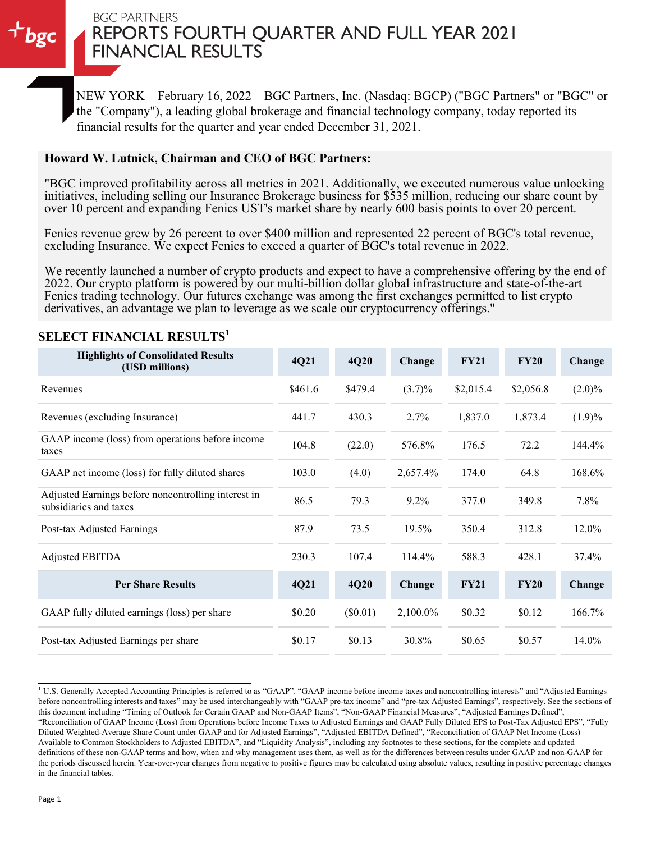$\mathbf{p}^{\mathsf{L}}$ bgc

# REPORTS FOURTH QUARTER AND FULL YEAR 2021 **FINANCIAL RESULTS**

**BGC PARTNERS** 

NEW YORK – February 16, 2022 – BGC Partners, Inc. (Nasdaq: BGCP) ("BGC Partners" or "BGC" or the "Company"), a leading global brokerage and financial technology company, today reported its financial results for the quarter and year ended December 31, 2021.

#### **Howard W. Lutnick, Chairman and CEO of BGC Partners:**

"BGC improved profitability across all metrics in 2021. Additionally, we executed numerous value unlocking initiatives, including selling our Insurance Brokerage business for \$535 million, reducing our share count by over 10 percent and expanding Fenics UST's market share by nearly 600 basis points to over 20 percent.

Fenics revenue grew by 26 percent to over \$400 million and represented 22 percent of BGC's total revenue, excluding Insurance. We expect Fenics to exceed a quarter of BGC's total revenue in 2022.

We recently launched a number of crypto products and expect to have a comprehensive offering by the end of 2022. Our crypto platform is powered by our multi-billion dollar global infrastructure and state-of-the-art Fenics trading technology. Our futures exchange was among the first exchanges permitted to list crypto derivatives, an advantage we plan to leverage as we scale our cryptocurrency offerings."

| <b>Highlights of Consolidated Results</b><br>(USD millions)                   | 4Q21    | 4Q20       | Change    | <b>FY21</b> | <b>FY20</b> | Change    |
|-------------------------------------------------------------------------------|---------|------------|-----------|-------------|-------------|-----------|
| Revenues                                                                      | \$461.6 | \$479.4    | $(3.7)\%$ | \$2,015.4   | \$2,056.8   | $(2.0)\%$ |
| Revenues (excluding Insurance)                                                | 441.7   | 430.3      | 2.7%      | 1,837.0     | 1,873.4     | $(1.9)\%$ |
| GAAP income (loss) from operations before income<br>taxes                     | 104.8   | (22.0)     | 576.8%    | 176.5       | 72.2        | 144.4%    |
| GAAP net income (loss) for fully diluted shares                               | 103.0   | (4.0)      | 2,657.4%  | 174.0       | 64.8        | 168.6%    |
| Adjusted Earnings before noncontrolling interest in<br>subsidiaries and taxes | 86.5    | 79.3       | 9.2%      | 377.0       | 349.8       | $7.8\%$   |
| Post-tax Adjusted Earnings                                                    | 87.9    | 73.5       | 19.5%     | 350.4       | 312.8       | 12.0%     |
| Adjusted EBITDA                                                               | 230.3   | 107.4      | 114.4%    | 588.3       | 428.1       | 37.4%     |
| <b>Per Share Results</b>                                                      | 4Q21    | 4Q20       | Change    | <b>FY21</b> | <b>FY20</b> | Change    |
| GAAP fully diluted earnings (loss) per share                                  | \$0.20  | $(\$0.01)$ | 2,100.0%  | \$0.32      | \$0.12      | 166.7%    |
| Post-tax Adjusted Earnings per share                                          | \$0.17  | \$0.13     | 30.8%     | \$0.65      | \$0.57      | 14.0%     |

#### **SELECT FINANCIAL RESULTS<sup>1</sup>**

<sup>&</sup>lt;sup>1</sup> U.S. Generally Accepted Accounting Principles is referred to as "GAAP". "GAAP income before income taxes and noncontrolling interests" and "Adjusted Earnings before noncontrolling interests and taxes" may be used interchangeably with "GAAP pre-tax income" and "pre-tax Adjusted Earnings", respectively. See the sections of this document including "Timing of Outlook for Certain GAAP and Non-GAAP Items", "Non-GAAP Financial Measures", "Adjusted Earnings Defined", "Reconciliation of GAAP Income (Loss) from Operations before Income Taxes to Adjusted Earnings and GAAP Fully Diluted EPS to Post-Tax Adjusted EPS", "Fully Diluted Weighted-Average Share Count under GAAP and for Adjusted Earnings", "Adjusted EBITDA Defined", "Reconciliation of GAAP Net Income (Loss) Available to Common Stockholders to Adjusted EBITDA", and "Liquidity Analysis", including any footnotes to these sections, for the complete and updated definitions of these non-GAAP terms and how, when and why management uses them, as well as for the differences between results under GAAP and non-GAAP for the periods discussed herein. Year-over-year changes from negative to positive figures may be calculated using absolute values, resulting in positive percentage changes in the financial tables.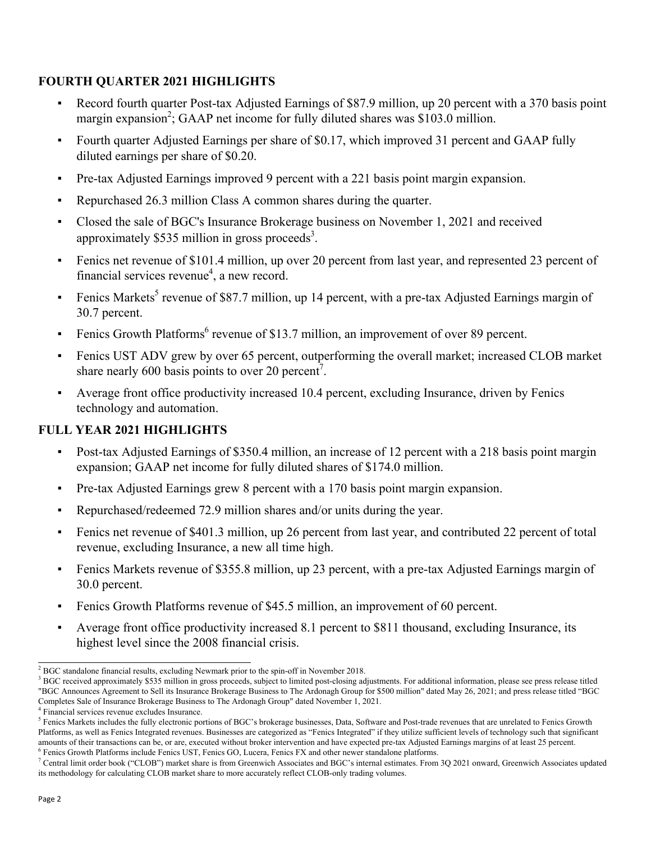### **FOURTH QUARTER 2021 HIGHLIGHTS**

- Record fourth quarter Post-tax Adjusted Earnings of \$87.9 million, up 20 percent with a 370 basis point margin expansion<sup>2</sup>; GAAP net income for fully diluted shares was \$103.0 million.
- Fourth quarter Adjusted Earnings per share of \$0.17, which improved 31 percent and GAAP fully diluted earnings per share of \$0.20.
- Pre-tax Adjusted Earnings improved 9 percent with a 221 basis point margin expansion.
- Repurchased 26.3 million Class A common shares during the quarter.
- Closed the sale of BGC's Insurance Brokerage business on November 1, 2021 and received approximately  $$535$  million in gross proceeds<sup>3</sup>.
- Fenics net revenue of \$101.4 million, up over 20 percent from last year, and represented 23 percent of financial services revenue<sup>4</sup>, a new record.
- **•** Fenics Markets<sup>5</sup> revenue of \$87.7 million, up 14 percent, with a pre-tax Adjusted Earnings margin of 30.7 percent.
- Fenics Growth Platforms<sup>6</sup> revenue of \$13.7 million, an improvement of over 89 percent.
- Fenics UST ADV grew by over 65 percent, outperforming the overall market; increased CLOB market share nearly 600 basis points to over 20 percent<sup>7</sup>.
- Average front office productivity increased 10.4 percent, excluding Insurance, driven by Fenics technology and automation.

# **FULL YEAR 2021 HIGHLIGHTS**

- Post-tax Adjusted Earnings of \$350.4 million, an increase of 12 percent with a 218 basis point margin expansion; GAAP net income for fully diluted shares of \$174.0 million.
- Pre-tax Adjusted Earnings grew 8 percent with a 170 basis point margin expansion.
- Repurchased/redeemed 72.9 million shares and/or units during the year.
- Fenics net revenue of \$401.3 million, up 26 percent from last year, and contributed 22 percent of total revenue, excluding Insurance, a new all time high.
- Fenics Markets revenue of \$355.8 million, up 23 percent, with a pre-tax Adjusted Earnings margin of 30.0 percent.
- Eenics Growth Platforms revenue of \$45.5 million, an improvement of 60 percent.
- Average front office productivity increased 8.1 percent to \$811 thousand, excluding Insurance, its highest level since the 2008 financial crisis.

4 Financial services revenue excludes Insurance.

 $2^{2}$  BGC standalone financial results, excluding Newmark prior to the spin-off in November 2018.

 $3$  BGC received approximately \$535 million in gross proceeds, subject to limited post-closing adjustments. For additional information, please see press release titled "BGC Announces Agreement to Sell its Insurance Brokerage Business to The Ardonagh Group for \$500 million" dated May 26, 2021; and press release titled "BGC Completes Sale of Insurance Brokerage Business to The Ardonagh Group" dated November 1, 2021.

 $<sup>5</sup>$  Fenics Markets includes the fully electronic portions of BGC's brokerage businesses, Data, Software and Post-trade revenues that are unrelated to Fenics Growth</sup> Platforms, as well as Fenics Integrated revenues. Businesses are categorized as "Fenics Integrated" if they utilize sufficient levels of technology such that significant amounts of their transactions can be, or are, executed without broker intervention and have expected pre-tax Adjusted Earnings margins of at least 25 percent. 6 Fenics Growth Platforms include Fenics UST, Fenics GO, Lucera, Fenics FX and other newer standalone platforms.

<sup>&</sup>lt;sup>7</sup> Central limit order book ("CLOB") market share is from Greenwich Associates and BGC's internal estimates. From 3Q 2021 onward, Greenwich Associates updated its methodology for calculating CLOB market share to more accurately reflect CLOB-only trading volumes.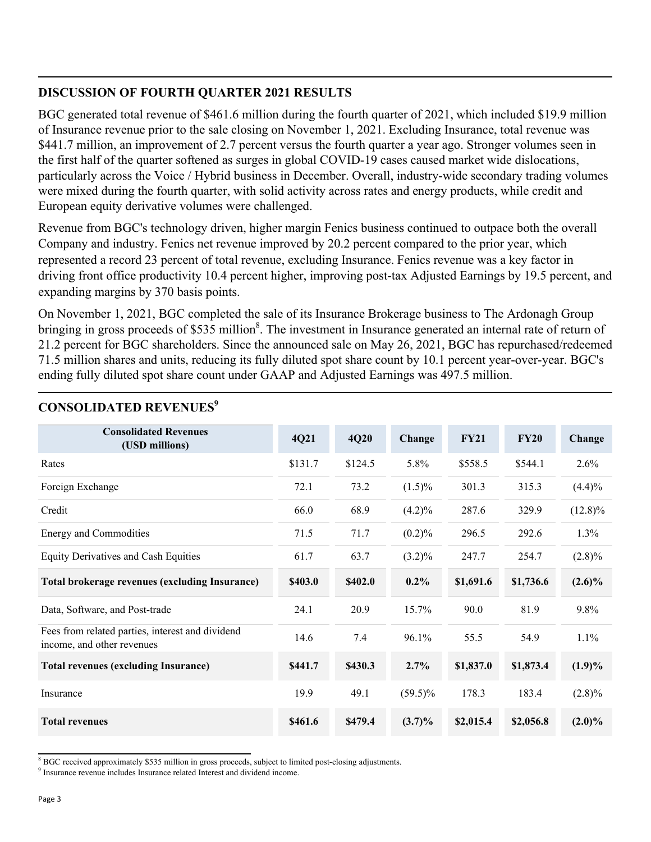# **DISCUSSION OF FOURTH QUARTER 2021 RESULTS**

BGC generated total revenue of \$461.6 million during the fourth quarter of 2021, which included \$19.9 million of Insurance revenue prior to the sale closing on November 1, 2021. Excluding Insurance, total revenue was \$441.7 million, an improvement of 2.7 percent versus the fourth quarter a year ago. Stronger volumes seen in the first half of the quarter softened as surges in global COVID-19 cases caused market wide dislocations, particularly across the Voice / Hybrid business in December. Overall, industry-wide secondary trading volumes were mixed during the fourth quarter, with solid activity across rates and energy products, while credit and European equity derivative volumes were challenged.

Revenue from BGC's technology driven, higher margin Fenics business continued to outpace both the overall Company and industry. Fenics net revenue improved by 20.2 percent compared to the prior year, which represented a record 23 percent of total revenue, excluding Insurance. Fenics revenue was a key factor in driving front office productivity 10.4 percent higher, improving post-tax Adjusted Earnings by 19.5 percent, and expanding margins by 370 basis points.

On November 1, 2021, BGC completed the sale of its Insurance Brokerage business to The Ardonagh Group bringing in gross proceeds of \$535 million<sup>8</sup>. The investment in Insurance generated an internal rate of return of 21.2 percent for BGC shareholders. Since the announced sale on May 26, 2021, BGC has repurchased/redeemed 71.5 million shares and units, reducing its fully diluted spot share count by 10.1 percent year-over-year. BGC's ending fully diluted spot share count under GAAP and Adjusted Earnings was 497.5 million.

| <b>Consolidated Revenues</b><br>(USD millions)                                 | 4Q21    | 4Q20    | Change     | FY21      | FY20      | Change     |
|--------------------------------------------------------------------------------|---------|---------|------------|-----------|-----------|------------|
| Rates                                                                          | \$131.7 | \$124.5 | 5.8%       | \$558.5   | \$544.1   | $2.6\%$    |
| Foreign Exchange                                                               | 72.1    | 73.2    | $(1.5)\%$  | 301.3     | 315.3     | (4.4)%     |
| Credit                                                                         | 66.0    | 68.9    | $(4.2)\%$  | 287.6     | 329.9     | $(12.8)\%$ |
| <b>Energy and Commodities</b>                                                  | 71.5    | 71.7    | $(0.2)\%$  | 296.5     | 292.6     | 1.3%       |
| <b>Equity Derivatives and Cash Equities</b>                                    | 61.7    | 63.7    | $(3.2)\%$  | 247.7     | 254.7     | $(2.8)\%$  |
| Total brokerage revenues (excluding Insurance)                                 | \$403.0 | \$402.0 | $0.2\%$    | \$1,691.6 | \$1,736.6 | $(2.6)\%$  |
| Data, Software, and Post-trade                                                 | 24.1    | 20.9    | 15.7%      | 90.0      | 81.9      | 9.8%       |
| Fees from related parties, interest and dividend<br>income, and other revenues | 14.6    | 7.4     | 96.1%      | 55.5      | 54.9      | 1.1%       |
| <b>Total revenues (excluding Insurance)</b>                                    | \$441.7 | \$430.3 | $2.7\%$    | \$1,837.0 | \$1,873.4 | $(1.9)\%$  |
| Insurance                                                                      | 19.9    | 49.1    | $(59.5)\%$ | 178.3     | 183.4     | $(2.8)\%$  |
| <b>Total revenues</b>                                                          | \$461.6 | \$479.4 | $(3.7)\%$  | \$2,015.4 | \$2,056.8 | $(2.0)\%$  |

### **CONSOLIDATED REVENUES<sup>9</sup>**

<sup>8</sup> BGC received approximately \$535 million in gross proceeds, subject to limited post-closing adjustments.

9 Insurance revenue includes Insurance related Interest and dividend income.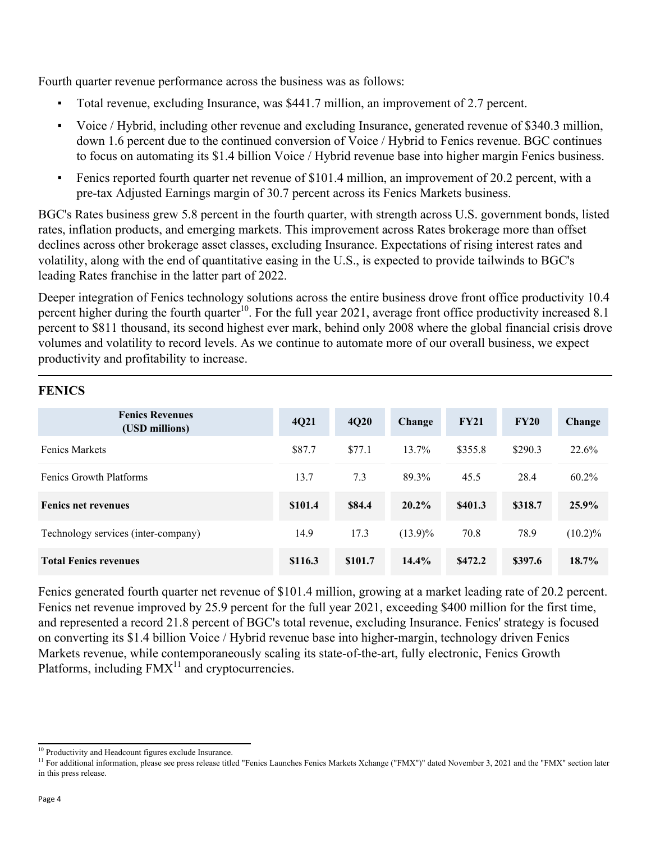Fourth quarter revenue performance across the business was as follows:

- Total revenue, excluding Insurance, was \$441.7 million, an improvement of 2.7 percent.
- Voice / Hybrid, including other revenue and excluding Insurance, generated revenue of \$340.3 million, down 1.6 percent due to the continued conversion of Voice / Hybrid to Fenics revenue. BGC continues to focus on automating its \$1.4 billion Voice / Hybrid revenue base into higher margin Fenics business.
- Fenics reported fourth quarter net revenue of \$101.4 million, an improvement of 20.2 percent, with a pre-tax Adjusted Earnings margin of 30.7 percent across its Fenics Markets business.

BGC's Rates business grew 5.8 percent in the fourth quarter, with strength across U.S. government bonds, listed rates, inflation products, and emerging markets. This improvement across Rates brokerage more than offset declines across other brokerage asset classes, excluding Insurance. Expectations of rising interest rates and volatility, along with the end of quantitative easing in the U.S., is expected to provide tailwinds to BGC's leading Rates franchise in the latter part of 2022.

Deeper integration of Fenics technology solutions across the entire business drove front office productivity 10.4 percent higher during the fourth quarter<sup>10</sup>. For the full year 2021, average front office productivity increased 8.1 percent to \$811 thousand, its second highest ever mark, behind only 2008 where the global financial crisis drove volumes and volatility to record levels. As we continue to automate more of our overall business, we expect productivity and profitability to increase.

| FENIUS                                   |         |         |            |             |             |            |
|------------------------------------------|---------|---------|------------|-------------|-------------|------------|
| <b>Fenics Revenues</b><br>(USD millions) | 4Q21    | 4Q20    | Change     | <b>FY21</b> | <b>FY20</b> | Change     |
| <b>Fenics Markets</b>                    | \$87.7  | \$77.1  | 13.7%      | \$355.8     | \$290.3     | 22.6%      |
| <b>Fenics Growth Platforms</b>           | 13.7    | 7.3     | 89.3%      | 45.5        | 28.4        | $60.2\%$   |
| <b>Fenics net revenues</b>               | \$101.4 | \$84.4  | $20.2\%$   | \$401.3     | \$318.7     | 25.9%      |
| Technology services (inter-company)      | 14.9    | 17.3    | $(13.9)\%$ | 70.8        | 78.9        | $(10.2)\%$ |
| <b>Total Fenics revenues</b>             | \$116.3 | \$101.7 | 14.4%      | \$472.2     | \$397.6     | 18.7%      |

### **FENICS**

Fenics generated fourth quarter net revenue of \$101.4 million, growing at a market leading rate of 20.2 percent. Fenics net revenue improved by 25.9 percent for the full year 2021, exceeding \$400 million for the first time, and represented a record 21.8 percent of BGC's total revenue, excluding Insurance. Fenics' strategy is focused on converting its \$1.4 billion Voice / Hybrid revenue base into higher-margin, technology driven Fenics Markets revenue, while contemporaneously scaling its state-of-the-art, fully electronic, Fenics Growth Platforms, including  $FMX<sup>11</sup>$  and cryptocurrencies.

<sup>&</sup>lt;sup>10</sup> Productivity and Headcount figures exclude Insurance.

 $11$  For additional information, please see press release titled "Fenics Launches Fenics Markets Xchange ("FMX")" dated November 3, 2021 and the "FMX" section later in this press release.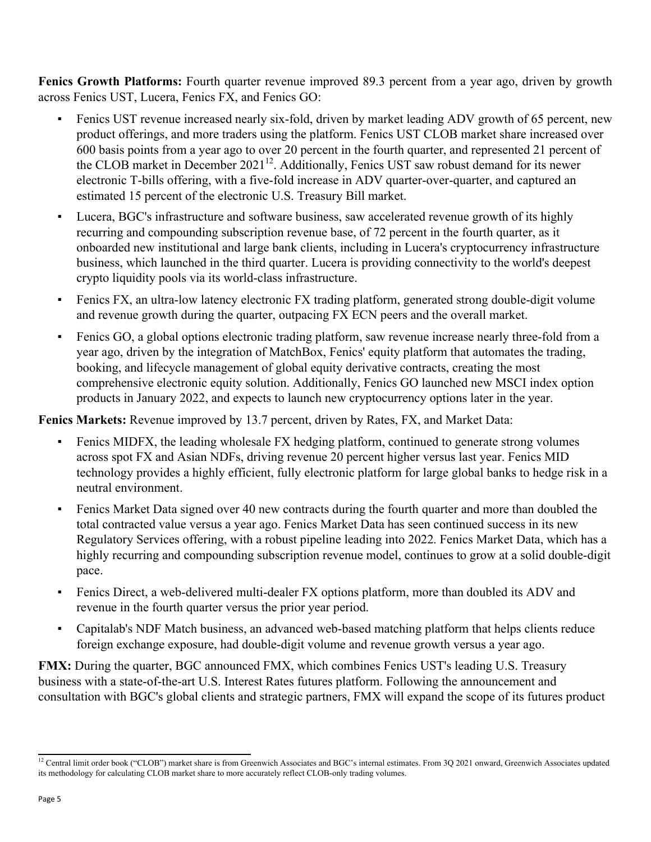**Fenics Growth Platforms:** Fourth quarter revenue improved 89.3 percent from a year ago, driven by growth across Fenics UST, Lucera, Fenics FX, and Fenics GO:

- Fenics UST revenue increased nearly six-fold, driven by market leading ADV growth of 65 percent, new product offerings, and more traders using the platform. Fenics UST CLOB market share increased over 600 basis points from a year ago to over 20 percent in the fourth quarter, and represented 21 percent of the CLOB market in December 2021<sup>12</sup>. Additionally, Fenics UST saw robust demand for its newer electronic T-bills offering, with a five-fold increase in ADV quarter-over-quarter, and captured an estimated 15 percent of the electronic U.S. Treasury Bill market.
- Lucera, BGC's infrastructure and software business, saw accelerated revenue growth of its highly recurring and compounding subscription revenue base, of 72 percent in the fourth quarter, as it onboarded new institutional and large bank clients, including in Lucera's cryptocurrency infrastructure business, which launched in the third quarter. Lucera is providing connectivity to the world's deepest crypto liquidity pools via its world-class infrastructure.
- Fenics FX, an ultra-low latency electronic FX trading platform, generated strong double-digit volume and revenue growth during the quarter, outpacing FX ECN peers and the overall market.
- Fenics GO, a global options electronic trading platform, saw revenue increase nearly three-fold from a year ago, driven by the integration of MatchBox, Fenics' equity platform that automates the trading, booking, and lifecycle management of global equity derivative contracts, creating the most comprehensive electronic equity solution. Additionally, Fenics GO launched new MSCI index option products in January 2022, and expects to launch new cryptocurrency options later in the year.

**Fenics Markets:** Revenue improved by 13.7 percent, driven by Rates, FX, and Market Data:

- Fenics MIDFX, the leading wholesale FX hedging platform, continued to generate strong volumes across spot FX and Asian NDFs, driving revenue 20 percent higher versus last year. Fenics MID technology provides a highly efficient, fully electronic platform for large global banks to hedge risk in a neutral environment.
- Fenics Market Data signed over 40 new contracts during the fourth quarter and more than doubled the total contracted value versus a year ago. Fenics Market Data has seen continued success in its new Regulatory Services offering, with a robust pipeline leading into 2022. Fenics Market Data, which has a highly recurring and compounding subscription revenue model, continues to grow at a solid double-digit pace.
- Fenics Direct, a web-delivered multi-dealer FX options platform, more than doubled its ADV and revenue in the fourth quarter versus the prior year period.
- Capitalab's NDF Match business, an advanced web-based matching platform that helps clients reduce foreign exchange exposure, had double-digit volume and revenue growth versus a year ago.

**FMX:** During the quarter, BGC announced FMX, which combines Fenics UST's leading U.S. Treasury business with a state-of-the-art U.S. Interest Rates futures platform. Following the announcement and consultation with BGC's global clients and strategic partners, FMX will expand the scope of its futures product

<sup>&</sup>lt;sup>12</sup> Central limit order book ("CLOB") market share is from Greenwich Associates and BGC's internal estimates. From 3Q 2021 onward, Greenwich Associates updated its methodology for calculating CLOB market share to more accurately reflect CLOB-only trading volumes.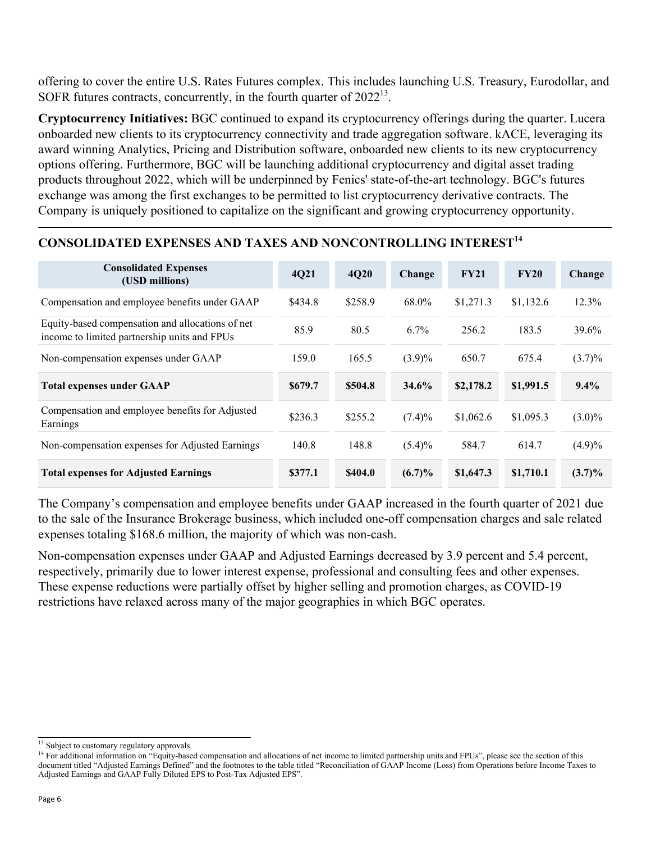offering to cover the entire U.S. Rates Futures complex. This includes launching U.S. Treasury, Eurodollar, and SOFR futures contracts, concurrently, in the fourth quarter of  $2022^{13}$ .

**Cryptocurrency Initiatives:** BGC continued to expand its cryptocurrency offerings during the quarter. Lucera onboarded new clients to its cryptocurrency connectivity and trade aggregation software. kACE, leveraging its award winning Analytics, Pricing and Distribution software, onboarded new clients to its new cryptocurrency options offering. Furthermore, BGC will be launching additional cryptocurrency and digital asset trading products throughout 2022, which will be underpinned by Fenics' state-of-the-art technology. BGC's futures exchange was among the first exchanges to be permitted to list cryptocurrency derivative contracts. The Company is uniquely positioned to capitalize on the significant and growing cryptocurrency opportunity.

# **Consolidated Expenses (USD millions) 4Q21 4Q20 Change FY21 FY20 Change** Compensation and employee benefits under GAAP \$434.8 \$258.9 68.0% \$1,271.3 \$1,132.6 12.3% Equity-based compensation and allocations of net Equity-based compensation and anocations of net<br>income to limited partnership units and FPUs 85.9 80.5 6.7% 256.2 183.5 39.6% Non-compensation expenses under GAAP 159.0 165.5 (3.9)% 650.7 675.4 (3.7)% **Total expenses under GAAP \$679.7 \$504.8 34.6% \$2,178.2 \$1,991.5 9.4%** Compensation and employee benefits for Adjusted Earnings \$236.3 \$255.2 (7.4)% \$1,062.6 \$1,095.3 (3.0)% Non-compensation expenses for Adjusted Earnings 140.8 148.8 (5.4)% 584.7 614.7 (4.9)% **Total expenses for Adjusted Earnings \$377.1 \$404.0 (6.7)% \$1,647.3 \$1,710.1 (3.7)%**

# **CONSOLIDATED EXPENSES AND TAXES AND NONCONTROLLING INTEREST<sup>14</sup>**

The Company's compensation and employee benefits under GAAP increased in the fourth quarter of 2021 due to the sale of the Insurance Brokerage business, which included one-off compensation charges and sale related expenses totaling \$168.6 million, the majority of which was non-cash.

Non-compensation expenses under GAAP and Adjusted Earnings decreased by 3.9 percent and 5.4 percent, respectively, primarily due to lower interest expense, professional and consulting fees and other expenses. These expense reductions were partially offset by higher selling and promotion charges, as COVID-19 restrictions have relaxed across many of the major geographies in which BGC operates.

<sup>&</sup>lt;sup>13</sup> Subject to customary regulatory approvals.

<sup>&</sup>lt;sup>14</sup> For additional information on "Equity-based compensation and allocations of net income to limited partnership units and FPUs", please see the section of this document titled "Adjusted Earnings Defined" and the footnotes to the table titled "Reconciliation of GAAP Income (Loss) from Operations before Income Taxes to Adjusted Earnings and GAAP Fully Diluted EPS to Post-Tax Adjusted EPS".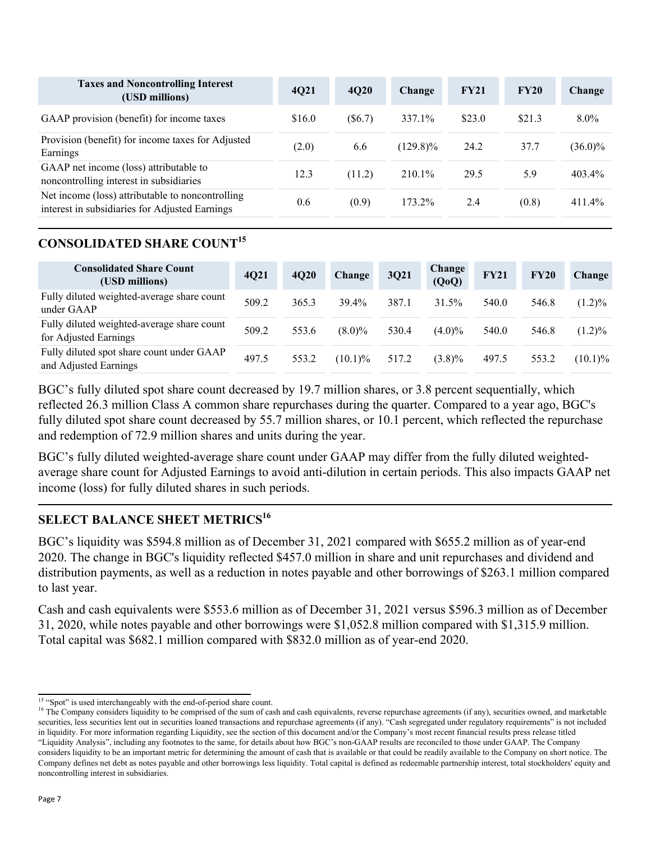| <b>Taxes and Noncontrolling Interest</b><br>(USD millions)                                         | 4Q21   | 4Q20      | Change      | FY21   | <b>FY20</b> | <b>Change</b> |
|----------------------------------------------------------------------------------------------------|--------|-----------|-------------|--------|-------------|---------------|
| GAAP provision (benefit) for income taxes                                                          | \$16.0 | $(\$6.7)$ | 337.1%      | \$23.0 | \$21.3      | $8.0\%$       |
| Provision (benefit) for income taxes for Adjusted<br>Earnings                                      | (2.0)  | 6.6       | $(129.8)\%$ | 24.2   | 37.7        | $(36.0)\%$    |
| GAAP net income (loss) attributable to<br>noncontrolling interest in subsidiaries                  | 12.3   | (11.2)    | $210.1\%$   | 29.5   | 5.9         | 403.4%        |
| Net income (loss) attributable to noncontrolling<br>interest in subsidiaries for Adjusted Earnings | 0.6    | (0.9)     | $173.2\%$   | 2.4    | (0.8)       | 411.4%        |

### **CONSOLIDATED SHARE COUNT<sup>15</sup>**

| <b>Consolidated Share Count</b><br>(USD millions)                   | 4Q21  | 4Q20  | Change     | 3Q21  | <b>Change</b><br>(QoQ) | <b>FY21</b> | <b>FY20</b> | Change     |
|---------------------------------------------------------------------|-------|-------|------------|-------|------------------------|-------------|-------------|------------|
| Fully diluted weighted-average share count<br>under GAAP            | 509.2 | 365.3 | 39.4%      | 387.1 | 31.5%                  | 540.0       | 546.8       | $(1.2)\%$  |
| Fully diluted weighted-average share count<br>for Adjusted Earnings | 509.2 | 553.6 | $(8.0)\%$  | 530.4 | $(4.0)\%$              | 540.0       | 546.8       | $(1.2)\%$  |
| Fully diluted spot share count under GAAP<br>and Adjusted Earnings  | 497.5 | 553.2 | $(10.1)\%$ | 517.2 | $(3.8)\%$              | 497.5       | 553.2       | $(10.1)\%$ |

BGC's fully diluted spot share count decreased by 19.7 million shares, or 3.8 percent sequentially, which reflected 26.3 million Class A common share repurchases during the quarter. Compared to a year ago, BGC's fully diluted spot share count decreased by 55.7 million shares, or 10.1 percent, which reflected the repurchase and redemption of 72.9 million shares and units during the year.

BGC's fully diluted weighted-average share count under GAAP may differ from the fully diluted weightedaverage share count for Adjusted Earnings to avoid anti-dilution in certain periods. This also impacts GAAP net income (loss) for fully diluted shares in such periods.

# **SELECT BALANCE SHEET METRICS<sup>16</sup>**

BGC's liquidity was \$594.8 million as of December 31, 2021 compared with \$655.2 million as of year-end 2020. The change in BGC's liquidity reflected \$457.0 million in share and unit repurchases and dividend and distribution payments, as well as a reduction in notes payable and other borrowings of \$263.1 million compared to last year.

Cash and cash equivalents were \$553.6 million as of December 31, 2021 versus \$596.3 million as of December 31, 2020, while notes payable and other borrowings were \$1,052.8 million compared with \$1,315.9 million. Total capital was \$682.1 million compared with \$832.0 million as of year-end 2020.

<sup>16</sup> The Company considers liquidity to be comprised of the sum of cash and cash equivalents, reverse repurchase agreements (if any), securities owned, and marketable securities, less securities lent out in securities loaned transactions and repurchase agreements (if any). "Cash segregated under regulatory requirements" is not included in liquidity. For more information regarding Liquidity, see the section of this document and/or the Company's most recent financial results press release titled "Liquidity Analysis", including any footnotes to the same, for details about how BGC's non-GAAP results are reconciled to those under GAAP. The Company

 $\frac{15 \text{ }}{\text{ }}^{\text{}}\text{4}$  "Spot" is used interchangeably with the end-of-period share count.

considers liquidity to be an important metric for determining the amount of cash that is available or that could be readily available to the Company on short notice. The Company defines net debt as notes payable and other borrowings less liquidity. Total capital is defined as redeemable partnership interest, total stockholders' equity and noncontrolling interest in subsidiaries.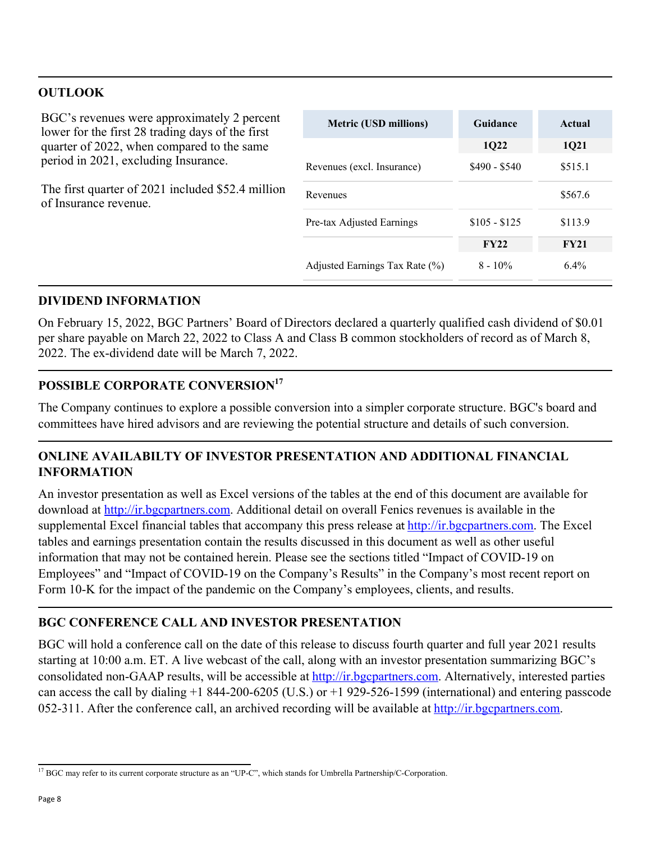#### **OUTLOOK**

BGC's revenues were approximately 2 percent lower for the first 28 trading days of the first quarter of 2022, when compared to the same period in 2021, excluding Insurance.

The first quarter of 2021 included \$52.4 million of Insurance revenue.

| <b>Metric (USD millions)</b>   | Guidance      | Actual      |
|--------------------------------|---------------|-------------|
|                                | 1Q22          | 1Q21        |
| Revenues (excl. Insurance)     | $$490 - $540$ | \$515.1     |
| Revenues                       |               | \$567.6     |
| Pre-tax Adjusted Earnings      | $$105 - $125$ | \$113.9     |
|                                | <b>FY22</b>   | <b>FY21</b> |
| Adjusted Earnings Tax Rate (%) | $8 - 10\%$    | 64%         |

#### **DIVIDEND INFORMATION**

On February 15, 2022, BGC Partners' Board of Directors declared a quarterly qualified cash dividend of \$0.01 per share payable on March 22, 2022 to Class A and Class B common stockholders of record as of March 8, 2022. The ex-dividend date will be March 7, 2022.

# **POSSIBLE CORPORATE CONVERSION<sup>17</sup>**

The Company continues to explore a possible conversion into a simpler corporate structure. BGC's board and committees have hired advisors and are reviewing the potential structure and details of such conversion.

#### **ONLINE AVAILABILTY OF INVESTOR PRESENTATION AND ADDITIONAL FINANCIAL INFORMATION**

An investor presentation as well as Excel versions of the tables at the end of this document are available for download at http://ir.bgcpartners.com. Additional detail on overall Fenics revenues is available in the supplemental Excel financial tables that accompany this press release at http://ir.bgcpartners.com. The Excel tables and earnings presentation contain the results discussed in this document as well as other useful information that may not be contained herein. Please see the sections titled "Impact of COVID-19 on Employees" and "Impact of COVID-19 on the Company's Results" in the Company's most recent report on Form 10-K for the impact of the pandemic on the Company's employees, clients, and results.

# **BGC CONFERENCE CALL AND INVESTOR PRESENTATION**

BGC will hold a conference call on the date of this release to discuss fourth quarter and full year 2021 results starting at 10:00 a.m. ET. A live webcast of the call, along with an investor presentation summarizing BGC's consolidated non-GAAP results, will be accessible at http://ir.bgcpartners.com. Alternatively, interested parties can access the call by dialing +1 844-200-6205 (U.S.) or +1 929-526-1599 (international) and entering passcode 052-311. After the conference call, an archived recording will be available at http://ir.bgcpartners.com.

<sup>&</sup>lt;sup>17</sup> BGC may refer to its current corporate structure as an "UP-C", which stands for Umbrella Partnership/C-Corporation.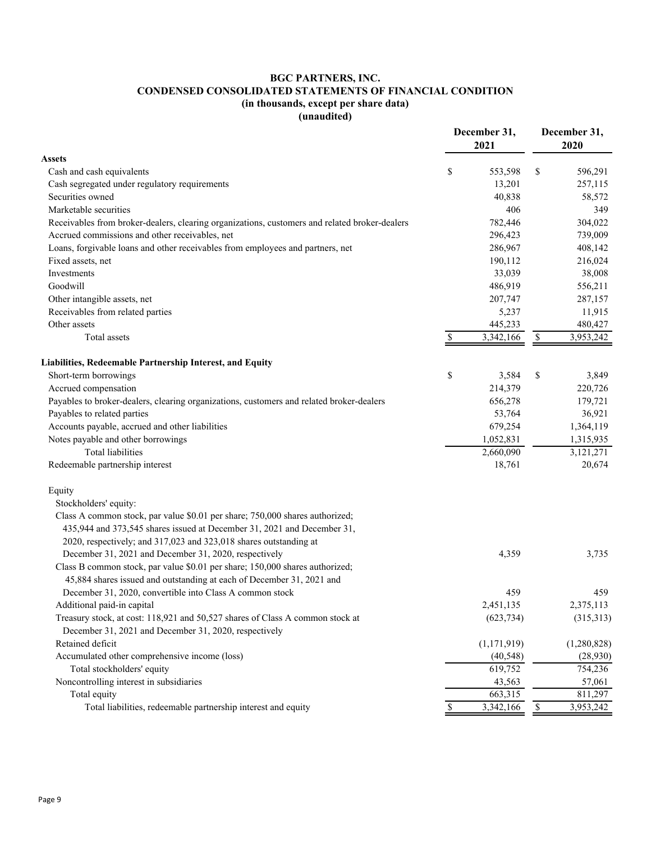#### **BGC PARTNERS, INC. CONDENSED CONSOLIDATED STATEMENTS OF FINANCIAL CONDITION (in thousands, except per share data)**

**(unaudited)**

|                                                                                               | December 31,<br>2021 | December 31,<br>2020 |             |  |  |  |
|-----------------------------------------------------------------------------------------------|----------------------|----------------------|-------------|--|--|--|
| Assets                                                                                        |                      |                      |             |  |  |  |
| Cash and cash equivalents                                                                     | \$<br>553,598        | \$                   | 596,291     |  |  |  |
| Cash segregated under regulatory requirements                                                 | 13,201               |                      | 257,115     |  |  |  |
| Securities owned                                                                              | 40,838               |                      | 58,572      |  |  |  |
| Marketable securities                                                                         | 406                  |                      | 349         |  |  |  |
| Receivables from broker-dealers, clearing organizations, customers and related broker-dealers | 782,446              |                      | 304,022     |  |  |  |
| Accrued commissions and other receivables, net                                                | 296,423              |                      | 739,009     |  |  |  |
| Loans, forgivable loans and other receivables from employees and partners, net                | 286,967              |                      | 408,142     |  |  |  |
| Fixed assets, net                                                                             | 190,112              |                      | 216,024     |  |  |  |
| Investments                                                                                   | 33,039               |                      | 38,008      |  |  |  |
| Goodwill                                                                                      | 486,919              |                      | 556,211     |  |  |  |
| Other intangible assets, net                                                                  | 207,747              |                      | 287,157     |  |  |  |
| Receivables from related parties                                                              | 5,237                |                      | 11,915      |  |  |  |
| Other assets                                                                                  | 445,233              |                      | 480,427     |  |  |  |
| Total assets                                                                                  | \$<br>3,342,166      | \$                   | 3,953,242   |  |  |  |
|                                                                                               |                      |                      |             |  |  |  |
| Liabilities, Redeemable Partnership Interest, and Equity                                      | \$                   | \$                   |             |  |  |  |
| Short-term borrowings                                                                         | 3,584                |                      | 3,849       |  |  |  |
| Accrued compensation                                                                          | 214,379              |                      | 220,726     |  |  |  |
| Payables to broker-dealers, clearing organizations, customers and related broker-dealers      | 656,278              |                      | 179,721     |  |  |  |
| Payables to related parties                                                                   | 53,764               |                      | 36,921      |  |  |  |
| Accounts payable, accrued and other liabilities                                               | 679,254              |                      | 1,364,119   |  |  |  |
| Notes payable and other borrowings                                                            | 1,052,831            |                      | 1,315,935   |  |  |  |
| <b>Total liabilities</b>                                                                      | 2,660,090            |                      | 3, 121, 271 |  |  |  |
| Redeemable partnership interest                                                               | 18,761               |                      | 20,674      |  |  |  |
| Equity                                                                                        |                      |                      |             |  |  |  |
| Stockholders' equity:                                                                         |                      |                      |             |  |  |  |
| Class A common stock, par value \$0.01 per share; 750,000 shares authorized;                  |                      |                      |             |  |  |  |
| 435,944 and 373,545 shares issued at December 31, 2021 and December 31,                       |                      |                      |             |  |  |  |
| 2020, respectively; and 317,023 and 323,018 shares outstanding at                             |                      |                      |             |  |  |  |
| December 31, 2021 and December 31, 2020, respectively                                         | 4,359                |                      | 3,735       |  |  |  |
| Class B common stock, par value \$0.01 per share; 150,000 shares authorized;                  |                      |                      |             |  |  |  |
| 45,884 shares issued and outstanding at each of December 31, 2021 and                         |                      |                      |             |  |  |  |
| December 31, 2020, convertible into Class A common stock                                      | 459                  |                      | 459         |  |  |  |
| Additional paid-in capital                                                                    | 2,451,135            |                      | 2,375,113   |  |  |  |
| Treasury stock, at cost: 118,921 and 50,527 shares of Class A common stock at                 | (623, 734)           |                      | (315,313)   |  |  |  |
| December 31, 2021 and December 31, 2020, respectively                                         |                      |                      |             |  |  |  |
| Retained deficit                                                                              | (1, 171, 919)        |                      | (1,280,828) |  |  |  |
|                                                                                               |                      |                      |             |  |  |  |
| Accumulated other comprehensive income (loss)                                                 | (40, 548)<br>619,752 |                      | (28,930)    |  |  |  |
| Total stockholders' equity                                                                    |                      |                      | 754,236     |  |  |  |
| Noncontrolling interest in subsidiaries                                                       | 43,563               |                      | 57,061      |  |  |  |
| Total equity                                                                                  | 663,315              |                      | 811,297     |  |  |  |
| Total liabilities, redeemable partnership interest and equity                                 | 3,342,166            |                      | 3,953,242   |  |  |  |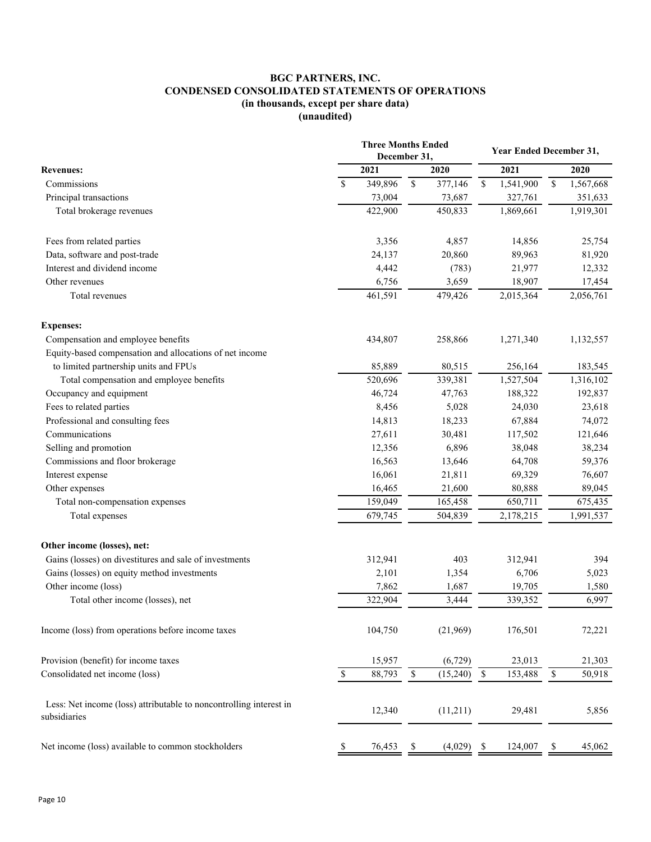#### **BGC PARTNERS, INC. CONDENSED CONSOLIDATED STATEMENTS OF OPERATIONS (in thousands, except per share data) (unaudited)**

|                                                                                    |             | <b>Three Months Ended</b><br>December 31, |              |          | Year Ended December 31, |           |    |           |  |
|------------------------------------------------------------------------------------|-------------|-------------------------------------------|--------------|----------|-------------------------|-----------|----|-----------|--|
| <b>Revenues:</b>                                                                   |             | 2021                                      |              | 2020     |                         | 2021      |    | 2020      |  |
| Commissions                                                                        | $\mathbf S$ | 349,896                                   | \$           | 377,146  | \$                      | 1,541,900 | \$ | 1,567,668 |  |
| Principal transactions                                                             |             | 73,004                                    |              | 73,687   |                         | 327,761   |    | 351,633   |  |
| Total brokerage revenues                                                           |             | 422,900                                   |              | 450,833  |                         | 1,869,661 |    | 1,919,301 |  |
| Fees from related parties                                                          |             | 3,356                                     |              | 4,857    |                         | 14,856    |    | 25,754    |  |
| Data, software and post-trade                                                      |             | 24,137                                    |              | 20,860   |                         | 89,963    |    | 81,920    |  |
| Interest and dividend income                                                       |             | 4,442                                     |              | (783)    |                         | 21,977    |    | 12,332    |  |
| Other revenues                                                                     |             | 6,756                                     |              | 3,659    |                         | 18,907    |    | 17,454    |  |
| Total revenues                                                                     |             | 461,591                                   |              | 479,426  |                         | 2,015,364 |    | 2,056,761 |  |
| <b>Expenses:</b>                                                                   |             |                                           |              |          |                         |           |    |           |  |
| Compensation and employee benefits                                                 |             | 434,807                                   |              | 258,866  |                         | 1,271,340 |    | 1,132,557 |  |
| Equity-based compensation and allocations of net income                            |             |                                           |              |          |                         |           |    |           |  |
| to limited partnership units and FPUs                                              |             | 85,889                                    |              | 80,515   |                         | 256,164   |    | 183,545   |  |
| Total compensation and employee benefits                                           |             | 520,696                                   |              | 339,381  |                         | 1,527,504 |    | 1,316,102 |  |
| Occupancy and equipment                                                            |             | 46,724                                    |              | 47,763   |                         | 188,322   |    | 192,837   |  |
| Fees to related parties                                                            |             | 8,456                                     |              | 5,028    |                         | 24,030    |    | 23,618    |  |
| Professional and consulting fees                                                   |             | 14,813                                    |              | 18,233   |                         | 67,884    |    | 74,072    |  |
| Communications                                                                     |             | 27,611                                    |              | 30,481   |                         | 117,502   |    | 121,646   |  |
| Selling and promotion                                                              |             | 12,356                                    |              | 6,896    |                         | 38,048    |    | 38,234    |  |
| Commissions and floor brokerage                                                    |             | 16,563                                    |              | 13,646   |                         | 64,708    |    | 59,376    |  |
| Interest expense                                                                   |             | 16,061                                    |              | 21,811   |                         | 69,329    |    | 76,607    |  |
| Other expenses                                                                     |             | 16,465                                    |              | 21,600   |                         | 80,888    |    | 89,045    |  |
| Total non-compensation expenses                                                    |             | 159,049                                   |              | 165,458  |                         | 650,711   |    | 675,435   |  |
| Total expenses                                                                     |             | 679,745                                   |              | 504,839  |                         | 2,178,215 |    | 1,991,537 |  |
| Other income (losses), net:                                                        |             |                                           |              |          |                         |           |    |           |  |
| Gains (losses) on divestitures and sale of investments                             |             | 312,941                                   |              | 403      |                         | 312,941   |    | 394       |  |
| Gains (losses) on equity method investments                                        |             | 2,101                                     |              | 1,354    |                         | 6,706     |    | 5,023     |  |
| Other income (loss)                                                                |             | 7,862                                     |              | 1,687    |                         | 19,705    |    | 1,580     |  |
| Total other income (losses), net                                                   |             | 322,904                                   |              | 3,444    |                         | 339,352   |    | 6,997     |  |
| Income (loss) from operations before income taxes                                  |             | 104,750                                   |              | (21,969) |                         | 176,501   |    | 72,221    |  |
| Provision (benefit) for income taxes                                               |             | 15,957                                    |              | (6, 729) |                         | 23,013    |    | 21,303    |  |
| Consolidated net income (loss)                                                     | \$          | 88,793                                    | $\mathbb{S}$ | (15,240) | $\mathbb S$             | 153,488   | \$ | 50,918    |  |
| Less: Net income (loss) attributable to noncontrolling interest in<br>subsidiaries |             | 12,340                                    |              | (11,211) |                         | 29,481    |    | 5,856     |  |
| Net income (loss) available to common stockholders                                 | \$          | 76,453                                    | \$           | (4,029)  | $\mathbb S$             | 124,007   | \$ | 45,062    |  |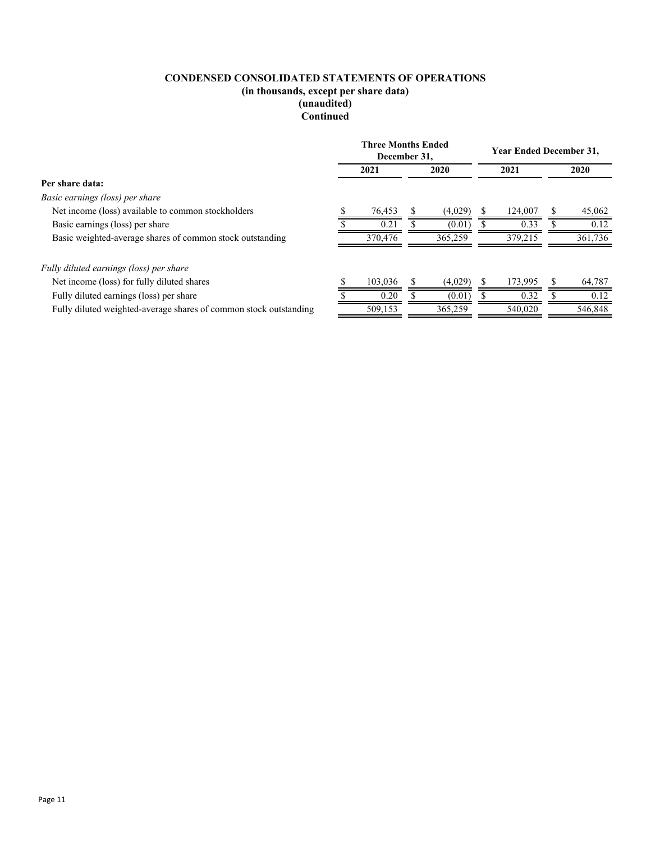#### **CONDENSED CONSOLIDATED STATEMENTS OF OPERATIONS (in thousands, except per share data) (unaudited) Continued**

|                                                                   | <b>Three Months Ended</b><br>December 31. |         |  | <b>Year Ended December 31,</b> |         |  |             |
|-------------------------------------------------------------------|-------------------------------------------|---------|--|--------------------------------|---------|--|-------------|
|                                                                   |                                           | 2021    |  | 2020                           | 2021    |  | <b>2020</b> |
| Per share data:                                                   |                                           |         |  |                                |         |  |             |
| Basic earnings (loss) per share                                   |                                           |         |  |                                |         |  |             |
| Net income (loss) available to common stockholders                |                                           | 76,453  |  | (4,029)                        | 124,007 |  | 45,062      |
| Basic earnings (loss) per share                                   |                                           | 0.21    |  | (0.01)                         | 0.33    |  | 0.12        |
| Basic weighted-average shares of common stock outstanding         |                                           | 370,476 |  | 365,259                        | 379,215 |  | 361,736     |
| Fully diluted earnings (loss) per share                           |                                           |         |  |                                |         |  |             |
| Net income (loss) for fully diluted shares                        |                                           | 103,036 |  | (4,029)                        | 173,995 |  | 64,787      |
| Fully diluted earnings (loss) per share                           |                                           | 0.20    |  | (0.01)                         | 0.32    |  | 0.12        |
| Fully diluted weighted-average shares of common stock outstanding |                                           | 509.153 |  | 365.259                        | 540.020 |  | 546,848     |
|                                                                   |                                           |         |  |                                |         |  |             |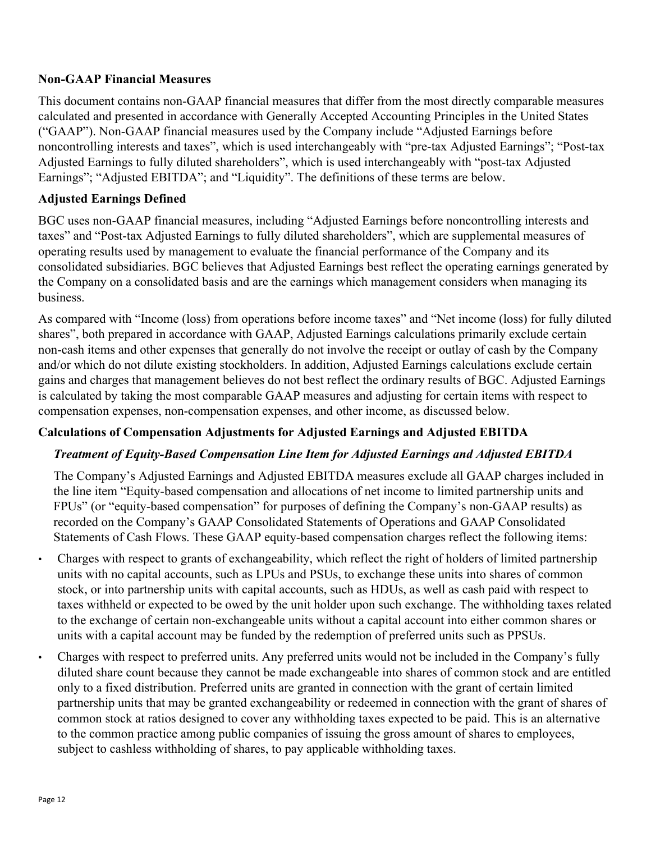### **Non-GAAP Financial Measures**

This document contains non-GAAP financial measures that differ from the most directly comparable measures calculated and presented in accordance with Generally Accepted Accounting Principles in the United States ("GAAP"). Non-GAAP financial measures used by the Company include "Adjusted Earnings before noncontrolling interests and taxes", which is used interchangeably with "pre-tax Adjusted Earnings"; "Post-tax Adjusted Earnings to fully diluted shareholders", which is used interchangeably with "post-tax Adjusted Earnings"; "Adjusted EBITDA"; and "Liquidity". The definitions of these terms are below.

### **Adjusted Earnings Defined**

BGC uses non-GAAP financial measures, including "Adjusted Earnings before noncontrolling interests and taxes" and "Post-tax Adjusted Earnings to fully diluted shareholders", which are supplemental measures of operating results used by management to evaluate the financial performance of the Company and its consolidated subsidiaries. BGC believes that Adjusted Earnings best reflect the operating earnings generated by the Company on a consolidated basis and are the earnings which management considers when managing its business.

As compared with "Income (loss) from operations before income taxes" and "Net income (loss) for fully diluted shares", both prepared in accordance with GAAP, Adjusted Earnings calculations primarily exclude certain non-cash items and other expenses that generally do not involve the receipt or outlay of cash by the Company and/or which do not dilute existing stockholders. In addition, Adjusted Earnings calculations exclude certain gains and charges that management believes do not best reflect the ordinary results of BGC. Adjusted Earnings is calculated by taking the most comparable GAAP measures and adjusting for certain items with respect to compensation expenses, non-compensation expenses, and other income, as discussed below.

# **Calculations of Compensation Adjustments for Adjusted Earnings and Adjusted EBITDA**

# *Treatment of Equity-Based Compensation Line Item for Adjusted Earnings and Adjusted EBITDA*

The Company's Adjusted Earnings and Adjusted EBITDA measures exclude all GAAP charges included in the line item "Equity-based compensation and allocations of net income to limited partnership units and FPUs" (or "equity-based compensation" for purposes of defining the Company's non-GAAP results) as recorded on the Company's GAAP Consolidated Statements of Operations and GAAP Consolidated Statements of Cash Flows. These GAAP equity-based compensation charges reflect the following items:

- Charges with respect to grants of exchangeability, which reflect the right of holders of limited partnership units with no capital accounts, such as LPUs and PSUs, to exchange these units into shares of common stock, or into partnership units with capital accounts, such as HDUs, as well as cash paid with respect to taxes withheld or expected to be owed by the unit holder upon such exchange. The withholding taxes related to the exchange of certain non-exchangeable units without a capital account into either common shares or units with a capital account may be funded by the redemption of preferred units such as PPSUs.
- Charges with respect to preferred units. Any preferred units would not be included in the Company's fully diluted share count because they cannot be made exchangeable into shares of common stock and are entitled only to a fixed distribution. Preferred units are granted in connection with the grant of certain limited partnership units that may be granted exchangeability or redeemed in connection with the grant of shares of common stock at ratios designed to cover any withholding taxes expected to be paid. This is an alternative to the common practice among public companies of issuing the gross amount of shares to employees, subject to cashless withholding of shares, to pay applicable withholding taxes.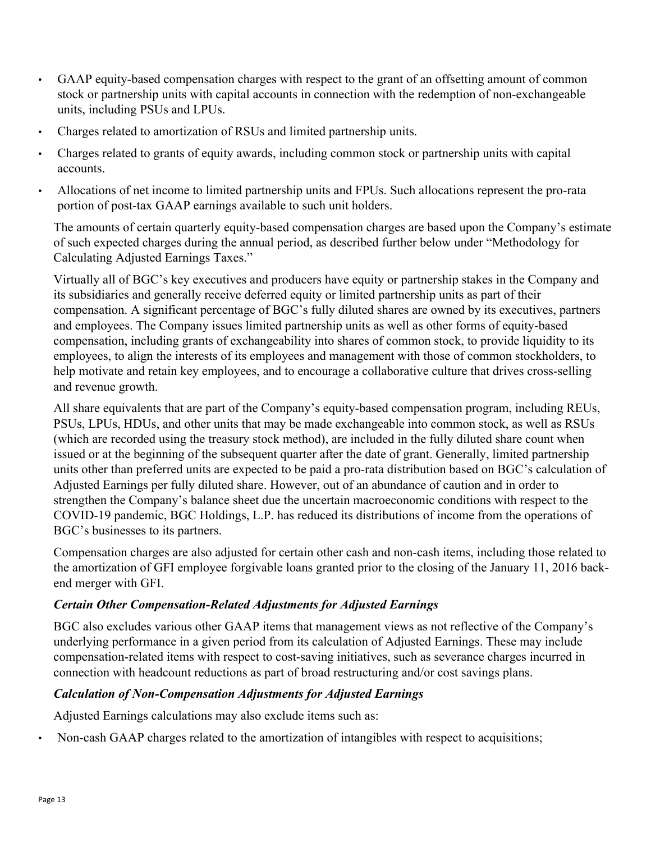- GAAP equity-based compensation charges with respect to the grant of an offsetting amount of common stock or partnership units with capital accounts in connection with the redemption of non-exchangeable units, including PSUs and LPUs.
- Charges related to amortization of RSUs and limited partnership units.
- Charges related to grants of equity awards, including common stock or partnership units with capital accounts.
- Allocations of net income to limited partnership units and FPUs. Such allocations represent the pro-rata portion of post-tax GAAP earnings available to such unit holders.

The amounts of certain quarterly equity-based compensation charges are based upon the Company's estimate of such expected charges during the annual period, as described further below under "Methodology for Calculating Adjusted Earnings Taxes."

Virtually all of BGC's key executives and producers have equity or partnership stakes in the Company and its subsidiaries and generally receive deferred equity or limited partnership units as part of their compensation. A significant percentage of BGC's fully diluted shares are owned by its executives, partners and employees. The Company issues limited partnership units as well as other forms of equity-based compensation, including grants of exchangeability into shares of common stock, to provide liquidity to its employees, to align the interests of its employees and management with those of common stockholders, to help motivate and retain key employees, and to encourage a collaborative culture that drives cross-selling and revenue growth.

All share equivalents that are part of the Company's equity-based compensation program, including REUs, PSUs, LPUs, HDUs, and other units that may be made exchangeable into common stock, as well as RSUs (which are recorded using the treasury stock method), are included in the fully diluted share count when issued or at the beginning of the subsequent quarter after the date of grant. Generally, limited partnership units other than preferred units are expected to be paid a pro-rata distribution based on BGC's calculation of Adjusted Earnings per fully diluted share. However, out of an abundance of caution and in order to strengthen the Company's balance sheet due the uncertain macroeconomic conditions with respect to the COVID-19 pandemic, BGC Holdings, L.P. has reduced its distributions of income from the operations of BGC's businesses to its partners.

Compensation charges are also adjusted for certain other cash and non-cash items, including those related to the amortization of GFI employee forgivable loans granted prior to the closing of the January 11, 2016 backend merger with GFI.

# *Certain Other Compensation-Related Adjustments for Adjusted Earnings*

BGC also excludes various other GAAP items that management views as not reflective of the Company's underlying performance in a given period from its calculation of Adjusted Earnings. These may include compensation-related items with respect to cost-saving initiatives, such as severance charges incurred in connection with headcount reductions as part of broad restructuring and/or cost savings plans.

# *Calculation of Non-Compensation Adjustments for Adjusted Earnings*

Adjusted Earnings calculations may also exclude items such as:

• Non-cash GAAP charges related to the amortization of intangibles with respect to acquisitions;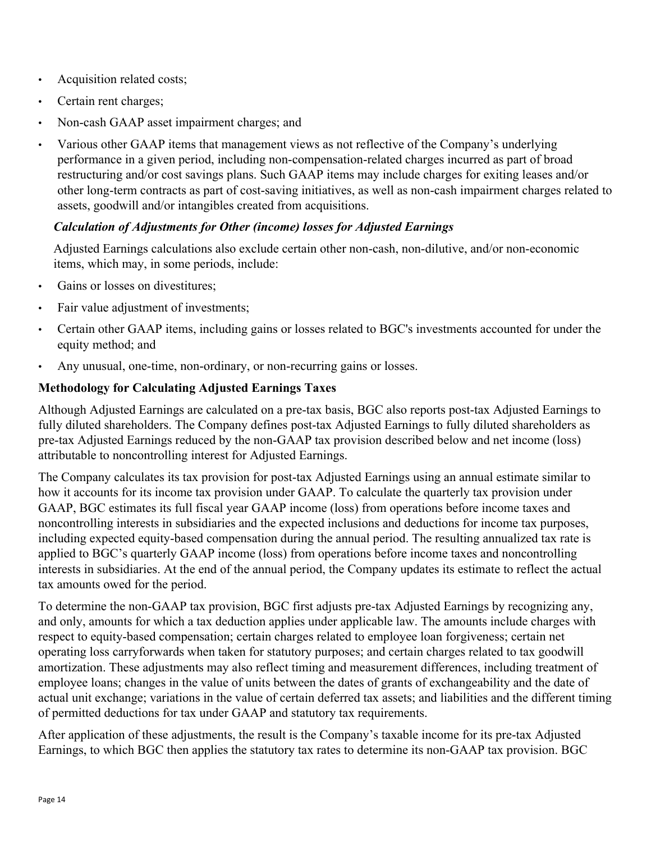- Acquisition related costs;
- Certain rent charges;
- Non-cash GAAP asset impairment charges; and
- Various other GAAP items that management views as not reflective of the Company's underlying performance in a given period, including non-compensation-related charges incurred as part of broad restructuring and/or cost savings plans. Such GAAP items may include charges for exiting leases and/or other long-term contracts as part of cost-saving initiatives, as well as non-cash impairment charges related to assets, goodwill and/or intangibles created from acquisitions.

### *Calculation of Adjustments for Other (income) losses for Adjusted Earnings*

Adjusted Earnings calculations also exclude certain other non-cash, non-dilutive, and/or non-economic items, which may, in some periods, include:

- Gains or losses on divestitures;
- Fair value adjustment of investments;
- Certain other GAAP items, including gains or losses related to BGC's investments accounted for under the equity method; and
- Any unusual, one-time, non-ordinary, or non-recurring gains or losses.

#### **Methodology for Calculating Adjusted Earnings Taxes**

Although Adjusted Earnings are calculated on a pre-tax basis, BGC also reports post-tax Adjusted Earnings to fully diluted shareholders. The Company defines post-tax Adjusted Earnings to fully diluted shareholders as pre-tax Adjusted Earnings reduced by the non-GAAP tax provision described below and net income (loss) attributable to noncontrolling interest for Adjusted Earnings.

The Company calculates its tax provision for post-tax Adjusted Earnings using an annual estimate similar to how it accounts for its income tax provision under GAAP. To calculate the quarterly tax provision under GAAP, BGC estimates its full fiscal year GAAP income (loss) from operations before income taxes and noncontrolling interests in subsidiaries and the expected inclusions and deductions for income tax purposes, including expected equity-based compensation during the annual period. The resulting annualized tax rate is applied to BGC's quarterly GAAP income (loss) from operations before income taxes and noncontrolling interests in subsidiaries. At the end of the annual period, the Company updates its estimate to reflect the actual tax amounts owed for the period.

To determine the non-GAAP tax provision, BGC first adjusts pre-tax Adjusted Earnings by recognizing any, and only, amounts for which a tax deduction applies under applicable law. The amounts include charges with respect to equity-based compensation; certain charges related to employee loan forgiveness; certain net operating loss carryforwards when taken for statutory purposes; and certain charges related to tax goodwill amortization. These adjustments may also reflect timing and measurement differences, including treatment of employee loans; changes in the value of units between the dates of grants of exchangeability and the date of actual unit exchange; variations in the value of certain deferred tax assets; and liabilities and the different timing of permitted deductions for tax under GAAP and statutory tax requirements.

After application of these adjustments, the result is the Company's taxable income for its pre-tax Adjusted Earnings, to which BGC then applies the statutory tax rates to determine its non-GAAP tax provision. BGC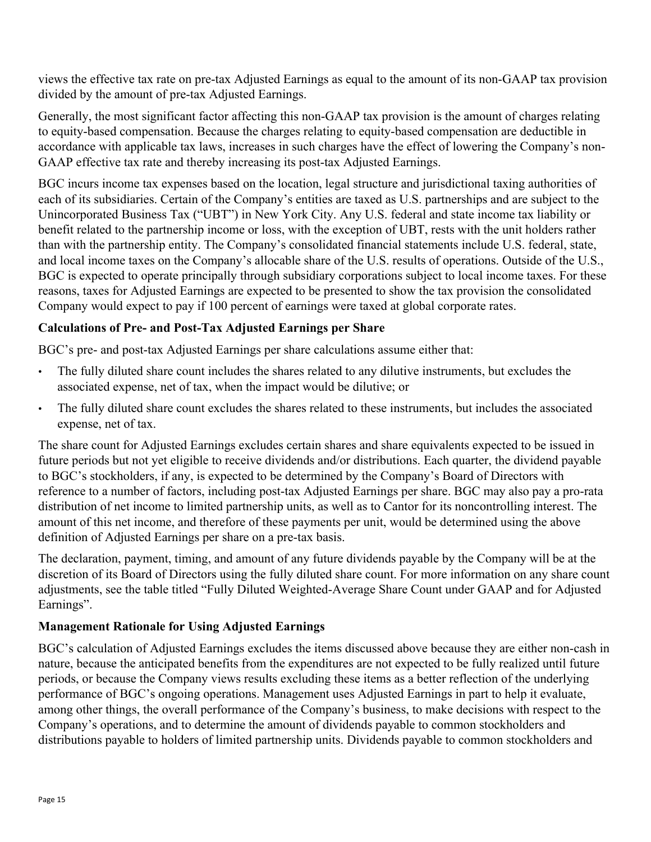views the effective tax rate on pre-tax Adjusted Earnings as equal to the amount of its non-GAAP tax provision divided by the amount of pre-tax Adjusted Earnings.

Generally, the most significant factor affecting this non-GAAP tax provision is the amount of charges relating to equity-based compensation. Because the charges relating to equity-based compensation are deductible in accordance with applicable tax laws, increases in such charges have the effect of lowering the Company's non-GAAP effective tax rate and thereby increasing its post-tax Adjusted Earnings.

BGC incurs income tax expenses based on the location, legal structure and jurisdictional taxing authorities of each of its subsidiaries. Certain of the Company's entities are taxed as U.S. partnerships and are subject to the Unincorporated Business Tax ("UBT") in New York City. Any U.S. federal and state income tax liability or benefit related to the partnership income or loss, with the exception of UBT, rests with the unit holders rather than with the partnership entity. The Company's consolidated financial statements include U.S. federal, state, and local income taxes on the Company's allocable share of the U.S. results of operations. Outside of the U.S., BGC is expected to operate principally through subsidiary corporations subject to local income taxes. For these reasons, taxes for Adjusted Earnings are expected to be presented to show the tax provision the consolidated Company would expect to pay if 100 percent of earnings were taxed at global corporate rates.

# **Calculations of Pre- and Post-Tax Adjusted Earnings per Share**

BGC's pre- and post-tax Adjusted Earnings per share calculations assume either that:

- The fully diluted share count includes the shares related to any dilutive instruments, but excludes the associated expense, net of tax, when the impact would be dilutive; or
- The fully diluted share count excludes the shares related to these instruments, but includes the associated expense, net of tax.

The share count for Adjusted Earnings excludes certain shares and share equivalents expected to be issued in future periods but not yet eligible to receive dividends and/or distributions. Each quarter, the dividend payable to BGC's stockholders, if any, is expected to be determined by the Company's Board of Directors with reference to a number of factors, including post-tax Adjusted Earnings per share. BGC may also pay a pro-rata distribution of net income to limited partnership units, as well as to Cantor for its noncontrolling interest. The amount of this net income, and therefore of these payments per unit, would be determined using the above definition of Adjusted Earnings per share on a pre-tax basis.

The declaration, payment, timing, and amount of any future dividends payable by the Company will be at the discretion of its Board of Directors using the fully diluted share count. For more information on any share count adjustments, see the table titled "Fully Diluted Weighted-Average Share Count under GAAP and for Adjusted Earnings".

# **Management Rationale for Using Adjusted Earnings**

BGC's calculation of Adjusted Earnings excludes the items discussed above because they are either non-cash in nature, because the anticipated benefits from the expenditures are not expected to be fully realized until future periods, or because the Company views results excluding these items as a better reflection of the underlying performance of BGC's ongoing operations. Management uses Adjusted Earnings in part to help it evaluate, among other things, the overall performance of the Company's business, to make decisions with respect to the Company's operations, and to determine the amount of dividends payable to common stockholders and distributions payable to holders of limited partnership units. Dividends payable to common stockholders and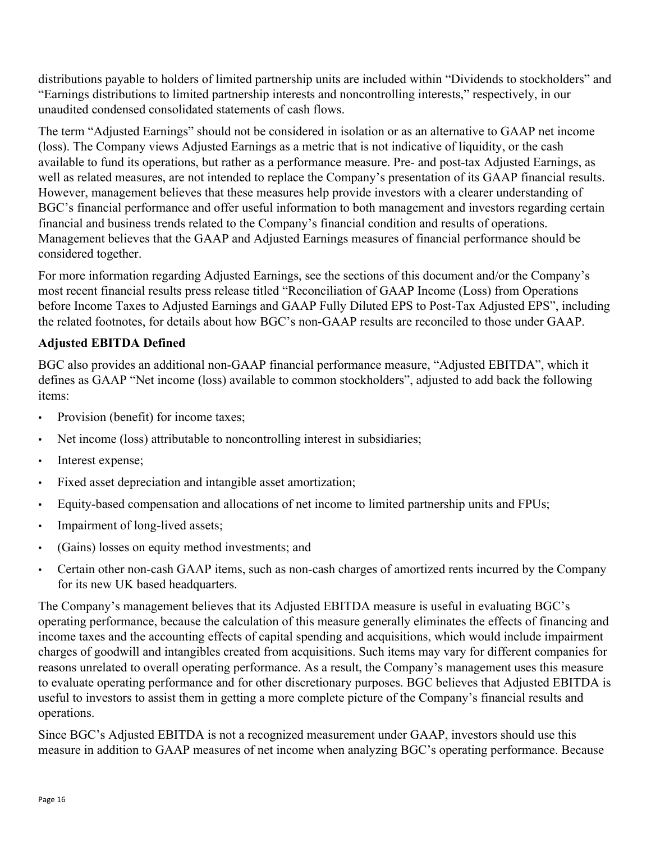distributions payable to holders of limited partnership units are included within "Dividends to stockholders" and "Earnings distributions to limited partnership interests and noncontrolling interests," respectively, in our unaudited condensed consolidated statements of cash flows.

The term "Adjusted Earnings" should not be considered in isolation or as an alternative to GAAP net income (loss). The Company views Adjusted Earnings as a metric that is not indicative of liquidity, or the cash available to fund its operations, but rather as a performance measure. Pre- and post-tax Adjusted Earnings, as well as related measures, are not intended to replace the Company's presentation of its GAAP financial results. However, management believes that these measures help provide investors with a clearer understanding of BGC's financial performance and offer useful information to both management and investors regarding certain financial and business trends related to the Company's financial condition and results of operations. Management believes that the GAAP and Adjusted Earnings measures of financial performance should be considered together.

For more information regarding Adjusted Earnings, see the sections of this document and/or the Company's most recent financial results press release titled "Reconciliation of GAAP Income (Loss) from Operations before Income Taxes to Adjusted Earnings and GAAP Fully Diluted EPS to Post-Tax Adjusted EPS", including the related footnotes, for details about how BGC's non-GAAP results are reconciled to those under GAAP.

# **Adjusted EBITDA Defined**

BGC also provides an additional non-GAAP financial performance measure, "Adjusted EBITDA", which it defines as GAAP "Net income (loss) available to common stockholders", adjusted to add back the following items:

- Provision (benefit) for income taxes;
- Net income (loss) attributable to noncontrolling interest in subsidiaries;
- Interest expense;
- Fixed asset depreciation and intangible asset amortization;
- Equity-based compensation and allocations of net income to limited partnership units and FPUs;
- Impairment of long-lived assets;
- (Gains) losses on equity method investments; and
- Certain other non-cash GAAP items, such as non-cash charges of amortized rents incurred by the Company for its new UK based headquarters.

The Company's management believes that its Adjusted EBITDA measure is useful in evaluating BGC's operating performance, because the calculation of this measure generally eliminates the effects of financing and income taxes and the accounting effects of capital spending and acquisitions, which would include impairment charges of goodwill and intangibles created from acquisitions. Such items may vary for different companies for reasons unrelated to overall operating performance. As a result, the Company's management uses this measure to evaluate operating performance and for other discretionary purposes. BGC believes that Adjusted EBITDA is useful to investors to assist them in getting a more complete picture of the Company's financial results and operations.

Since BGC's Adjusted EBITDA is not a recognized measurement under GAAP, investors should use this measure in addition to GAAP measures of net income when analyzing BGC's operating performance. Because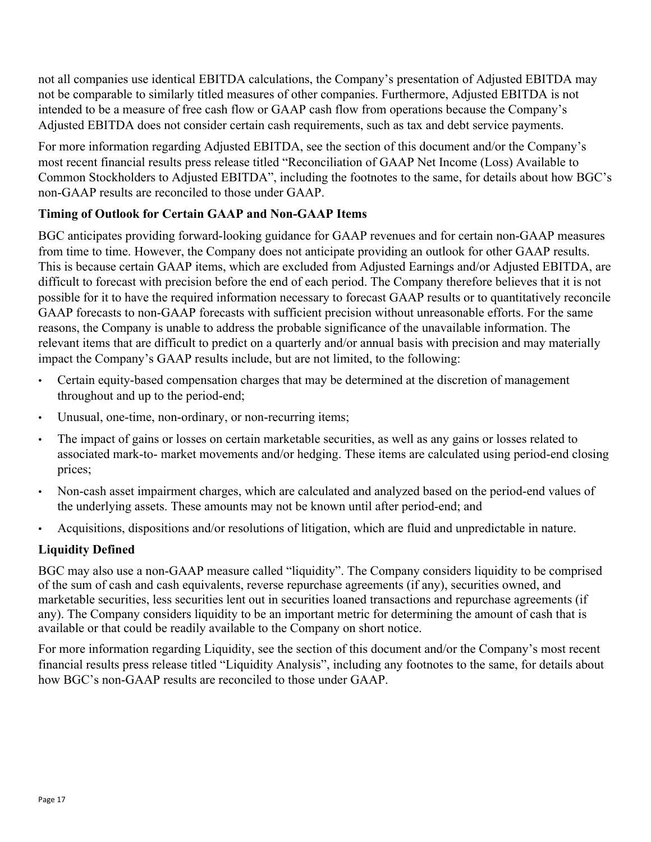not all companies use identical EBITDA calculations, the Company's presentation of Adjusted EBITDA may not be comparable to similarly titled measures of other companies. Furthermore, Adjusted EBITDA is not intended to be a measure of free cash flow or GAAP cash flow from operations because the Company's Adjusted EBITDA does not consider certain cash requirements, such as tax and debt service payments.

For more information regarding Adjusted EBITDA, see the section of this document and/or the Company's most recent financial results press release titled "Reconciliation of GAAP Net Income (Loss) Available to Common Stockholders to Adjusted EBITDA", including the footnotes to the same, for details about how BGC's non-GAAP results are reconciled to those under GAAP.

# **Timing of Outlook for Certain GAAP and Non-GAAP Items**

BGC anticipates providing forward-looking guidance for GAAP revenues and for certain non-GAAP measures from time to time. However, the Company does not anticipate providing an outlook for other GAAP results. This is because certain GAAP items, which are excluded from Adjusted Earnings and/or Adjusted EBITDA, are difficult to forecast with precision before the end of each period. The Company therefore believes that it is not possible for it to have the required information necessary to forecast GAAP results or to quantitatively reconcile GAAP forecasts to non-GAAP forecasts with sufficient precision without unreasonable efforts. For the same reasons, the Company is unable to address the probable significance of the unavailable information. The relevant items that are difficult to predict on a quarterly and/or annual basis with precision and may materially impact the Company's GAAP results include, but are not limited, to the following:

- Certain equity-based compensation charges that may be determined at the discretion of management throughout and up to the period-end;
- Unusual, one-time, non-ordinary, or non-recurring items;
- The impact of gains or losses on certain marketable securities, as well as any gains or losses related to associated mark-to- market movements and/or hedging. These items are calculated using period-end closing prices;
- Non-cash asset impairment charges, which are calculated and analyzed based on the period-end values of the underlying assets. These amounts may not be known until after period-end; and
- Acquisitions, dispositions and/or resolutions of litigation, which are fluid and unpredictable in nature.

# **Liquidity Defined**

BGC may also use a non-GAAP measure called "liquidity". The Company considers liquidity to be comprised of the sum of cash and cash equivalents, reverse repurchase agreements (if any), securities owned, and marketable securities, less securities lent out in securities loaned transactions and repurchase agreements (if any). The Company considers liquidity to be an important metric for determining the amount of cash that is available or that could be readily available to the Company on short notice.

For more information regarding Liquidity, see the section of this document and/or the Company's most recent financial results press release titled "Liquidity Analysis", including any footnotes to the same, for details about how BGC's non-GAAP results are reconciled to those under GAAP.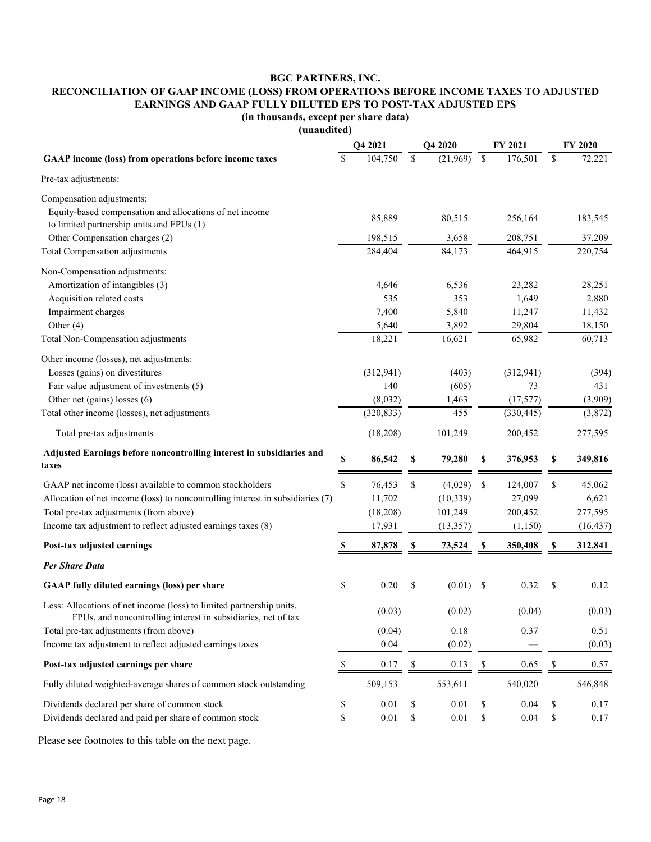#### **BGC PARTNERS, INC.**

#### **RECONCILIATION OF GAAP INCOME (LOSS) FROM OPERATIONS BEFORE INCOME TAXES TO ADJUSTED EARNINGS AND GAAP FULLY DILUTED EPS TO POST-TAX ADJUSTED EPS**

**(in thousands, except per share data)**

| (unaudited) |
|-------------|
|-------------|

|                                                                                                                                       |               | Q4 2021    |    | Q4 2020   |              | FY 2021    |    | FY 2020   |
|---------------------------------------------------------------------------------------------------------------------------------------|---------------|------------|----|-----------|--------------|------------|----|-----------|
| GAAP income (loss) from operations before income taxes                                                                                | <sup>\$</sup> | 104,750    | \$ | (21,969)  | $\mathbb{S}$ | 176,501    | \$ | 72,221    |
| Pre-tax adjustments:                                                                                                                  |               |            |    |           |              |            |    |           |
| Compensation adjustments:                                                                                                             |               |            |    |           |              |            |    |           |
| Equity-based compensation and allocations of net income<br>to limited partnership units and FPUs (1)                                  |               | 85,889     |    | 80,515    |              | 256,164    |    | 183,545   |
| Other Compensation charges (2)                                                                                                        |               | 198,515    |    | 3,658     |              | 208,751    |    | 37,209    |
| <b>Total Compensation adjustments</b>                                                                                                 |               | 284,404    |    | 84,173    |              | 464,915    |    | 220,754   |
| Non-Compensation adjustments:                                                                                                         |               |            |    |           |              |            |    |           |
| Amortization of intangibles (3)                                                                                                       |               | 4,646      |    | 6,536     |              | 23,282     |    | 28,251    |
| Acquisition related costs                                                                                                             |               | 535        |    | 353       |              | 1,649      |    | 2,880     |
| Impairment charges                                                                                                                    |               | 7,400      |    | 5,840     |              | 11,247     |    | 11,432    |
| Other $(4)$                                                                                                                           |               | 5,640      |    | 3,892     |              | 29,804     |    | 18,150    |
| Total Non-Compensation adjustments                                                                                                    |               | 18,221     |    | 16,621    |              | 65,982     |    | 60,713    |
| Other income (losses), net adjustments:                                                                                               |               |            |    |           |              |            |    |           |
| Losses (gains) on divestitures                                                                                                        |               | (312, 941) |    | (403)     |              | (312, 941) |    | (394)     |
| Fair value adjustment of investments (5)                                                                                              |               | 140        |    | (605)     |              | 73         |    | 431       |
| Other net (gains) losses (6)                                                                                                          |               | (8,032)    |    | 1,463     |              | (17, 577)  |    | (3,909)   |
| Total other income (losses), net adjustments                                                                                          |               | (320, 833) |    | 455       |              | (330, 445) |    | (3,872)   |
| Total pre-tax adjustments                                                                                                             |               | (18, 208)  |    | 101,249   |              | 200,452    |    | 277,595   |
| Adjusted Earnings before noncontrolling interest in subsidiaries and                                                                  | \$            | 86,542     |    | 79,280    |              | 376,953    | \$ | 349,816   |
| taxes                                                                                                                                 |               |            | \$ |           | \$           |            |    |           |
| GAAP net income (loss) available to common stockholders                                                                               | \$            | 76,453     | \$ | (4,029)   | - \$         | 124,007    | \$ | 45,062    |
| Allocation of net income (loss) to noncontrolling interest in subsidiaries (7)                                                        |               | 11,702     |    | (10, 339) |              | 27,099     |    | 6,621     |
| Total pre-tax adjustments (from above)                                                                                                |               | (18, 208)  |    | 101,249   |              | 200,452    |    | 277,595   |
| Income tax adjustment to reflect adjusted earnings taxes (8)                                                                          |               | 17,931     |    | (13,357)  |              | (1,150)    |    | (16, 437) |
| Post-tax adjusted earnings                                                                                                            | S             | 87,878     | S, | 73,524    | <b>S</b>     | 350,408    | S  | 312,841   |
| <b>Per Share Data</b>                                                                                                                 |               |            |    |           |              |            |    |           |
| <b>GAAP fully diluted earnings (loss) per share</b>                                                                                   | \$            | 0.20       | \$ | (0.01)    | -S           | 0.32       | \$ | 0.12      |
| Less: Allocations of net income (loss) to limited partnership units,<br>FPUs, and noncontrolling interest in subsidiaries, net of tax |               | (0.03)     |    | (0.02)    |              | (0.04)     |    | (0.03)    |
| Total pre-tax adjustments (from above)                                                                                                |               | (0.04)     |    | 0.18      |              | 0.37       |    | 0.51      |
| Income tax adjustment to reflect adjusted earnings taxes                                                                              |               | 0.04       |    | (0.02)    |              |            |    | (0.03)    |
| Post-tax adjusted earnings per share                                                                                                  | S             | 0.17       | \$ | 0.13      | \$           | 0.65       | \$ | 0.57      |
| Fully diluted weighted-average shares of common stock outstanding                                                                     |               | 509,153    |    | 553,611   |              | 540,020    |    | 546,848   |
| Dividends declared per share of common stock                                                                                          | \$            | 0.01       | \$ | 0.01      | \$           | 0.04       | \$ | 0.17      |
| Dividends declared and paid per share of common stock                                                                                 | \$            | $0.01\,$   | \$ | 0.01      | $\mathbb S$  | 0.04       | \$ | 0.17      |
|                                                                                                                                       |               |            |    |           |              |            |    |           |

Please see footnotes to this table on the next page.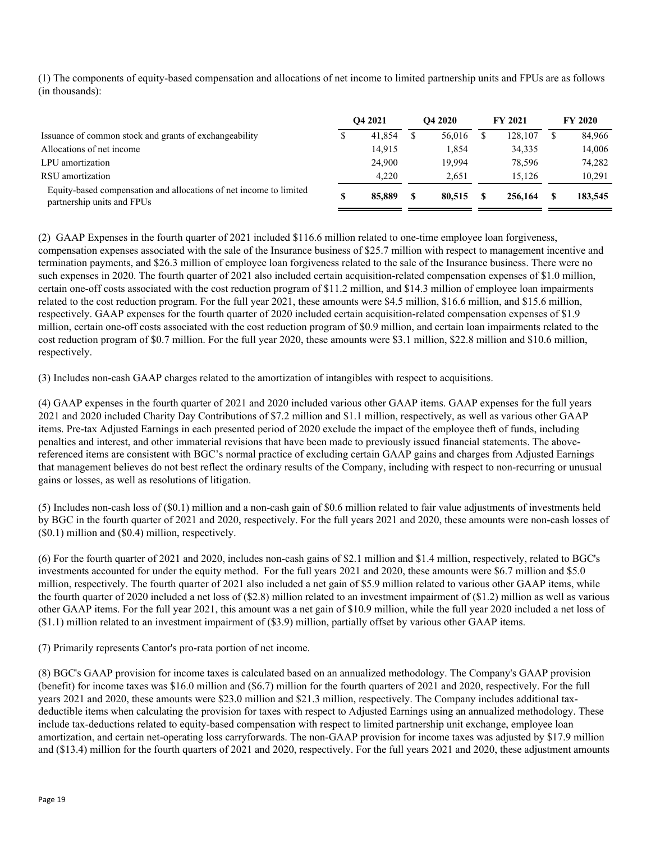(1) The components of equity-based compensation and allocations of net income to limited partnership units and FPUs are as follows (in thousands):

|                                                                                                  | O <sub>4</sub> 2021 |        | <b>O4 2020</b> |        | <b>FY 2021</b> |         | <b>FY 2020</b> |         |
|--------------------------------------------------------------------------------------------------|---------------------|--------|----------------|--------|----------------|---------|----------------|---------|
| Issuance of common stock and grants of exchangeability                                           |                     | 41.854 |                | 56,016 |                | 128,107 |                | 84,966  |
| Allocations of net income                                                                        |                     | 14.915 |                | 1.854  |                | 34,335  |                | 14,006  |
| LPU amortization                                                                                 |                     | 24,900 |                | 19.994 |                | 78.596  |                | 74.282  |
| RSU amortization                                                                                 |                     | 4.220  |                | 2.651  |                | 15.126  |                | 10,291  |
| Equity-based compensation and allocations of net income to limited<br>partnership units and FPUs | S                   | 85,889 |                | 80,515 |                | 256,164 |                | 183,545 |

(2) GAAP Expenses in the fourth quarter of 2021 included \$116.6 million related to one-time employee loan forgiveness, compensation expenses associated with the sale of the Insurance business of \$25.7 million with respect to management incentive and termination payments, and \$26.3 million of employee loan forgiveness related to the sale of the Insurance business. There were no such expenses in 2020. The fourth quarter of 2021 also included certain acquisition-related compensation expenses of \$1.0 million, certain one-off costs associated with the cost reduction program of \$11.2 million, and \$14.3 million of employee loan impairments related to the cost reduction program. For the full year 2021, these amounts were \$4.5 million, \$16.6 million, and \$15.6 million, respectively. GAAP expenses for the fourth quarter of 2020 included certain acquisition-related compensation expenses of \$1.9 million, certain one-off costs associated with the cost reduction program of \$0.9 million, and certain loan impairments related to the cost reduction program of \$0.7 million. For the full year 2020, these amounts were \$3.1 million, \$22.8 million and \$10.6 million, respectively.

(3) Includes non-cash GAAP charges related to the amortization of intangibles with respect to acquisitions.

(4) GAAP expenses in the fourth quarter of 2021 and 2020 included various other GAAP items. GAAP expenses for the full years 2021 and 2020 included Charity Day Contributions of \$7.2 million and \$1.1 million, respectively, as well as various other GAAP items. Pre-tax Adjusted Earnings in each presented period of 2020 exclude the impact of the employee theft of funds, including penalties and interest, and other immaterial revisions that have been made to previously issued financial statements. The abovereferenced items are consistent with BGC's normal practice of excluding certain GAAP gains and charges from Adjusted Earnings that management believes do not best reflect the ordinary results of the Company, including with respect to non-recurring or unusual gains or losses, as well as resolutions of litigation.

(5) Includes non-cash loss of (\$0.1) million and a non-cash gain of \$0.6 million related to fair value adjustments of investments held by BGC in the fourth quarter of 2021 and 2020, respectively. For the full years 2021 and 2020, these amounts were non-cash losses of (\$0.1) million and (\$0.4) million, respectively.

(6) For the fourth quarter of 2021 and 2020, includes non-cash gains of \$2.1 million and \$1.4 million, respectively, related to BGC's investments accounted for under the equity method. For the full years 2021 and 2020, these amounts were \$6.7 million and \$5.0 million, respectively. The fourth quarter of 2021 also included a net gain of \$5.9 million related to various other GAAP items, while the fourth quarter of 2020 included a net loss of (\$2.8) million related to an investment impairment of (\$1.2) million as well as various other GAAP items. For the full year 2021, this amount was a net gain of \$10.9 million, while the full year 2020 included a net loss of (\$1.1) million related to an investment impairment of (\$3.9) million, partially offset by various other GAAP items.

(7) Primarily represents Cantor's pro-rata portion of net income.

(8) BGC's GAAP provision for income taxes is calculated based on an annualized methodology. The Company's GAAP provision (benefit) for income taxes was \$16.0 million and (\$6.7) million for the fourth quarters of 2021 and 2020, respectively. For the full years 2021 and 2020, these amounts were \$23.0 million and \$21.3 million, respectively. The Company includes additional taxdeductible items when calculating the provision for taxes with respect to Adjusted Earnings using an annualized methodology. These include tax-deductions related to equity-based compensation with respect to limited partnership unit exchange, employee loan amortization, and certain net-operating loss carryforwards. The non-GAAP provision for income taxes was adjusted by \$17.9 million and (\$13.4) million for the fourth quarters of 2021 and 2020, respectively. For the full years 2021 and 2020, these adjustment amounts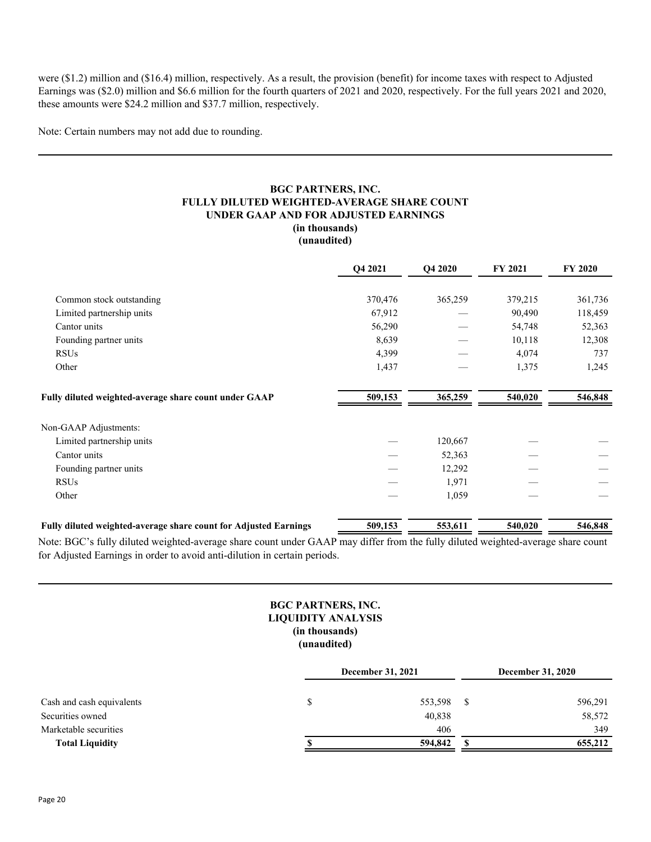were (\$1.2) million and (\$16.4) million, respectively. As a result, the provision (benefit) for income taxes with respect to Adjusted Earnings was (\$2.0) million and \$6.6 million for the fourth quarters of 2021 and 2020, respectively. For the full years 2021 and 2020, these amounts were \$24.2 million and \$37.7 million, respectively.

Note: Certain numbers may not add due to rounding.

#### **BGC PARTNERS, INC. FULLY DILUTED WEIGHTED-AVERAGE SHARE COUNT UNDER GAAP AND FOR ADJUSTED EARNINGS (in thousands)**

#### **(unaudited)**

|                                                                  | Q4 2021 | Q4 2020 | FY 2021 | <b>FY 2020</b> |
|------------------------------------------------------------------|---------|---------|---------|----------------|
| Common stock outstanding                                         | 370,476 | 365,259 | 379,215 | 361,736        |
| Limited partnership units                                        | 67,912  |         | 90,490  | 118,459        |
| Cantor units                                                     | 56,290  |         | 54,748  | 52,363         |
| Founding partner units                                           | 8,639   |         | 10,118  | 12,308         |
| <b>RSUs</b>                                                      | 4,399   |         | 4,074   | 737            |
| Other                                                            | 1,437   |         | 1,375   | 1,245          |
| Fully diluted weighted-average share count under GAAP            | 509,153 | 365,259 | 540,020 | 546,848        |
| Non-GAAP Adjustments:                                            |         |         |         |                |
| Limited partnership units                                        |         | 120,667 |         |                |
| Cantor units                                                     |         | 52,363  |         |                |
| Founding partner units                                           |         | 12,292  |         |                |
| <b>RSUs</b>                                                      |         | 1,971   |         |                |
| Other                                                            |         | 1,059   |         |                |
| Fully diluted weighted-average share count for Adjusted Earnings | 509,153 | 553,611 | 540,020 | 546,848        |

Note: BGC's fully diluted weighted-average share count under GAAP may differ from the fully diluted weighted-average share count for Adjusted Earnings in order to avoid anti-dilution in certain periods.

#### **BGC PARTNERS, INC. LIQUIDITY ANALYSIS (in thousands) (unaudited)**

|                           | December 31, 2021 | <b>December 31, 2020</b> |         |  |
|---------------------------|-------------------|--------------------------|---------|--|
|                           |                   |                          |         |  |
| Cash and cash equivalents | 553,598           | - \$                     | 596,291 |  |
| Securities owned          | 40,838            |                          | 58,572  |  |
| Marketable securities     | 406               |                          | 349     |  |
| <b>Total Liquidity</b>    | 594,842           | -S                       | 655,212 |  |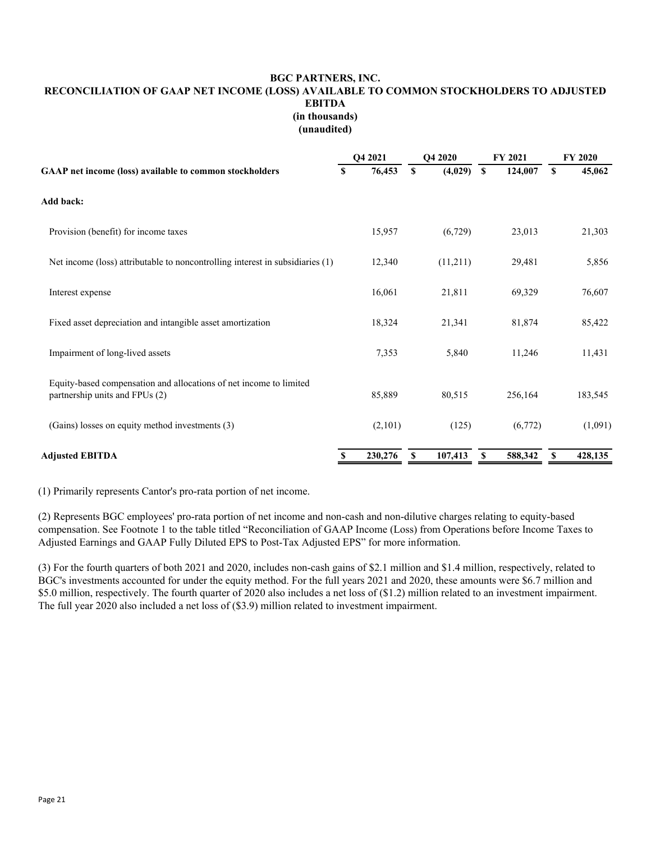#### **BGC PARTNERS, INC. RECONCILIATION OF GAAP NET INCOME (LOSS) AVAILABLE TO COMMON STOCKHOLDERS TO ADJUSTED EBITDA (in thousands) (unaudited)**

| GAAP net income (loss) available to common stockholders                                              | Q4 2021     | Q4 2020      | FY 2021                 | <b>FY 2020</b> |
|------------------------------------------------------------------------------------------------------|-------------|--------------|-------------------------|----------------|
|                                                                                                      | S<br>76,453 | S<br>(4,029) | $\mathbf{s}$<br>124,007 | \$<br>45,062   |
| Add back:                                                                                            |             |              |                         |                |
| Provision (benefit) for income taxes                                                                 | 15,957      | (6, 729)     | 23,013                  | 21,303         |
| Net income (loss) attributable to noncontrolling interest in subsidiaries (1)                        | 12,340      | (11,211)     | 29,481                  | 5,856          |
| Interest expense                                                                                     | 16,061      | 21,811       | 69,329                  | 76,607         |
| Fixed asset depreciation and intangible asset amortization                                           | 18,324      | 21,341       | 81,874                  | 85,422         |
| Impairment of long-lived assets                                                                      | 7,353       | 5,840        | 11,246                  | 11,431         |
| Equity-based compensation and allocations of net income to limited<br>partnership units and FPUs (2) | 85,889      | 80,515       | 256,164                 | 183,545        |
| (Gains) losses on equity method investments (3)                                                      | (2,101)     | (125)        | (6,772)                 | (1,091)        |
| <b>Adjusted EBITDA</b>                                                                               | 230,276     | 107,413<br>S | 588,342<br>S            | 428,135<br>S   |

#### (1) Primarily represents Cantor's pro-rata portion of net income.

(2) Represents BGC employees' pro-rata portion of net income and non-cash and non-dilutive charges relating to equity-based compensation. See Footnote 1 to the table titled "Reconciliation of GAAP Income (Loss) from Operations before Income Taxes to Adjusted Earnings and GAAP Fully Diluted EPS to Post-Tax Adjusted EPS" for more information.

(3) For the fourth quarters of both 2021 and 2020, includes non-cash gains of \$2.1 million and \$1.4 million, respectively, related to BGC's investments accounted for under the equity method. For the full years 2021 and 2020, these amounts were \$6.7 million and \$5.0 million, respectively. The fourth quarter of 2020 also includes a net loss of (\$1.2) million related to an investment impairment. The full year 2020 also included a net loss of (\$3.9) million related to investment impairment.